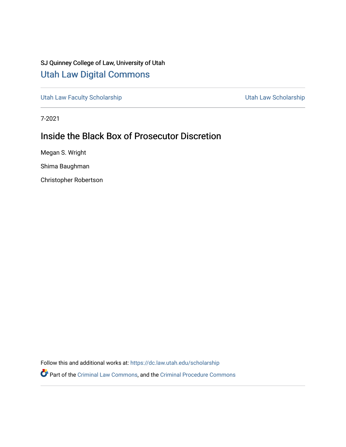# SJ Quinney College of Law, University of Utah [Utah Law Digital Commons](https://dc.law.utah.edu/)

[Utah Law Faculty Scholarship](https://dc.law.utah.edu/scholarship) **Vertilian Control Control Control Control Control Control Control Control Control Control Control Control Control Control Control Control Control Control Control Control Control Control Contro** 

7-2021

# Inside the Black Box of Prosecutor Discretion

Megan S. Wright

Shima Baughman

Christopher Robertson

Follow this and additional works at: [https://dc.law.utah.edu/scholarship](https://dc.law.utah.edu/scholarship?utm_source=dc.law.utah.edu%2Fscholarship%2F319&utm_medium=PDF&utm_campaign=PDFCoverPages) 

Part of the [Criminal Law Commons,](http://network.bepress.com/hgg/discipline/912?utm_source=dc.law.utah.edu%2Fscholarship%2F319&utm_medium=PDF&utm_campaign=PDFCoverPages) and the [Criminal Procedure Commons](http://network.bepress.com/hgg/discipline/1073?utm_source=dc.law.utah.edu%2Fscholarship%2F319&utm_medium=PDF&utm_campaign=PDFCoverPages)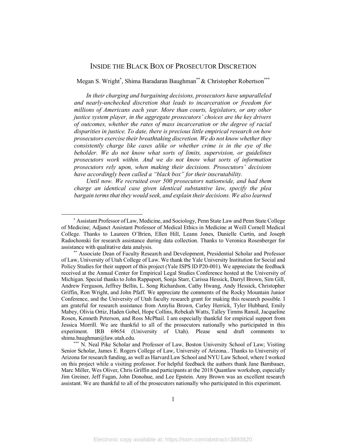# INSIDE THE BLACK BOX OF PROSECUTOR DISCRETION

Megan S. Wright\*, Shima Baradaran Baughman\*\* & Christopher Robertson\*\*\*

*In their charging and bargaining decisions, prosecutors have unparalleled and nearly-unchecked discretion that leads to incarceration or freedom for millions of Americans each year. More than courts, legislators, or any other justice system player, in the aggregate prosecutors' choices are the key drivers of outcomes, whether the rates of mass incarceration or the degree of racial disparities in justice. To date, there is precious little empirical research on how prosecutors exercise their breathtaking discretion. We do not know whether they consistently charge like cases alike or whether crime is in the eye of the beholder. We do not know what sorts of limits, supervision, or guidelines prosecutors work within. And we do not know what sorts of information prosecutors rely upon, when making their decisions. Prosecutors' decisions have accordingly been called a "black box" for their inscrutability.* 

*Until now. We recruited over 500 prosecutors nationwide, and had them charge an identical case given identical substantive law, specify the plea bargain terms that they would seek, and explain their decisions. We also learned* 

 <sup>\*</sup> Assistant Professor of Law, Medicine, and Sociology, Penn State Law and Penn State College of Medicine; Adjunct Assistant Professor of Medical Ethics in Medicine at Weill Cornell Medical College. Thanks to Laureen O'Brien, Ellen Hill, Leann Jones, Danielle Curtin, and Joseph Radochonski for research assistance during data collection. Thanks to Veronica Rosenberger for assistance with qualitative data analysis.

<sup>\*\*</sup> Associate Dean of Faculty Research and Development, Presidential Scholar and Professor of Law, University of Utah College of Law. We thank the Yale University Institution for Social and Policy Studies for their support of this project (Yale ISPS ID P20-001). We appreciate the feedback received at the Annual Center for Empirical Legal Studies Conference hosted at the University of Michigan. Special thanks to John Rappaport, Sonja Starr, Carissa Hessick, Darryl Brown, Sim Gill, Andrew Ferguson, Jeffrey Bellin, L. Song Richardson, Cathy Hwang, Andy Hessick, Christopher Griffin, Ron Wright, and John Pfaff. We appreciate the comments of the Rocky Mountain Junior Conference, and the University of Utah faculty research grant for making this research possible. I am grateful for research assistance from Amylia Brown, Carley Herrick, Tyler Hubbard, Emily Mabey, Olivia Ortiz, Haden Gobel, Hope Collins, Rebekah Watts, Talley Timms Ransil, Jacqueline Rosen, Kenneth Peterson, and Ross McPhail. I am especially thankful for empirical support from Jessica Morrill. We are thankful to all of the prosecutors nationally who participated in this experiment. IRB 69654 (University of Utah). Please send draft comments to shima.baughman@law.utah.edu.

N. Neal Pike Scholar and Professor of Law, Boston University School of Law; Visiting Senior Scholar, James E. Rogers College of Law, University of Arizona.. Thanks to University of Arizona for research funding, as well as Harvard Law School and NYU Law School, where I worked on this project while a visiting professor. For helpful feedback the authors thank Jane Bambauer, Marc Miller, Wes Oliver, Chris Griffin and participants at the 2018 Quantlaw workshop, especially Jim Greiner, Jeff Fagan, John Donohue, and Lee Epstein. Amy Brown was an excellent research assistant. We are thankful to all of the prosecutors nationally who participated in this experiment.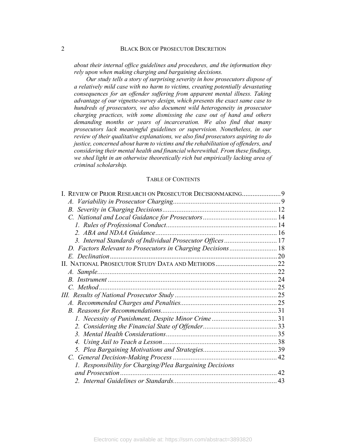*about their internal office guidelines and procedures, and the information they rely upon when making charging and bargaining decisions.*

*Our study tells a story of surprising severity in how prosecutors dispose of a relatively mild case with no harm to victims, creating potentially devastating consequences for an offender suffering from apparent mental illness. Taking advantage of our vignette-survey design, which presents the exact same case to hundreds of prosecutors, we also document wild heterogeneity in prosecutor charging practices, with some dismissing the case out of hand and others demanding months or years of incarceration. We also find that many prosecutors lack meaningful guidelines or supervision. Nonetheless, in our review of their qualitative explanations, we also find prosecutors aspiring to do justice, concerned about harm to victims and the rehabilitation of offenders, and considering their mental health and financial wherewithal. From these findings, we shed light in an otherwise theoretically rich but empirically lacking area of criminal scholarship.*

#### TABLE OF CONTENTS

| I. REVIEW OF PRIOR RESEARCH ON PROSECUTOR DECISIONMAKING9   |    |
|-------------------------------------------------------------|----|
|                                                             |    |
|                                                             |    |
|                                                             |    |
|                                                             |    |
|                                                             |    |
|                                                             |    |
| D. Factors Relevant to Prosecutors in Charging Decisions 18 |    |
|                                                             |    |
|                                                             |    |
|                                                             |    |
|                                                             |    |
|                                                             |    |
|                                                             |    |
|                                                             |    |
|                                                             |    |
|                                                             |    |
|                                                             |    |
|                                                             |    |
|                                                             |    |
|                                                             |    |
|                                                             |    |
| 1. Responsibility for Charging/Plea Bargaining Decisions    |    |
|                                                             | 42 |
|                                                             |    |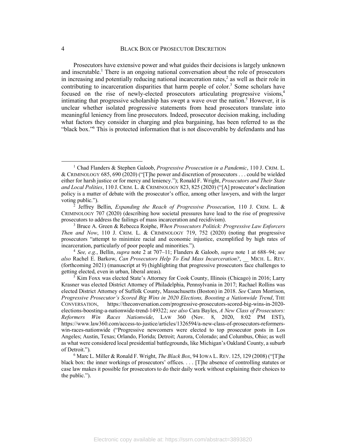Prosecutors have extensive power and what guides their decisions is largely unknown and inscrutable.<sup>1</sup> There is an ongoing national conversation about the role of prosecutors in increasing and potentially reducing national incarceration rates, <sup>2</sup> as well as their role in contributing to incarceration disparities that harm people of color.<sup>3</sup> Some scholars have focused on the rise of newly-elected prosecutors articulating progressive visions,4 intimating that progressive scholarship has swept a wave over the nation.<sup>5</sup> However, it is unclear whether isolated progressive statements from head prosecutors translate into meaningful leniency from line prosecutors. Indeed, prosecutor decision making, including what factors they consider in charging and plea bargaining, has been referred to as the "black box."6 This is protected information that is not discoverable by defendants and has

 <sup>1</sup> Chad Flanders & Stephen Galoob, *Progressive Prosecution in a Pandemic*, 110 J. CRIM. L. & CRIMINOLOGY 685, 690 (2020) ("[T]he power and discretion of prosecutors . . . could be wielded either for harsh justice or for mercy and leniency."); Ronald F. Wright, *Prosecutors and Their State and Local Polities*, 110 J. CRIM. L. & CRIMINOLOGY 823, 825 (2020) ("[A] prosecutor's declination policy is a matter of debate with the prosecutor's office, among other lawyers, and with the larger voting public.").

<sup>2</sup> Jeffrey Bellin, *Expanding the Reach of Progressive Prosecution*, 110 J. CRIM. L. & CRIMINOLOGY 707 (2020) (describing how societal pressures have lead to the rise of progressive prosecutors to address the failings of mass incarceration and recidivism).

<sup>3</sup> Bruce A. Green & Rebecca Roiphe, *When Prosecutors Politick: Progressive Law Enforcers Then and Now*, 110 J. CRIM. L. & CRIMINOLOGY 719, 752 (2020) (noting that progressive prosecutors "attempt to minimize racial and economic injustice, exemplified by high rates of incarceration, particularly of poor people and minorities.").

<sup>4</sup> *See, e.g.*, Bellin, *supra* note 2 at 707–11; Flanders & Galoob, *supra* note 1 at 688–94; *see also* Rachel E. Barkow, *Can Prosecutors Help To End Mass Incarceration?*, \_\_ MICH. L. REV. (forthcoming 2021) (manuscript at 9) (highlighting that progressive prosecutors face challenges to getting elected, even in urban, liberal areas).

<sup>&</sup>lt;sup>5</sup> Kim Foxx was elected State's Attorney for Cook County, Illinois (Chicago) in 2016; Larry Krasner was elected District Attorney of Philadelphia, Pennsylvania in 2017; Rachael Rollins was elected District Attorney of Suffolk County, Massachusetts (Boston) in 2018. *See* Caren Morrison, *Progressive Prosecutor's Scored Big Wins in 2020 Elections, Boosting a Nationwide Trend*, THE CONVERSATION, https://theconversation.com/progressive-prosecutors-scored-big-wins-in-2020 elections-boosting-a-nationwide-trend-149322; *see also* Cara Bayles, *A New Class of Prosecutors: Reformers Win Races Nationwide*, LAW 360 (Nov. 8, 2020, 8:02 PM EST), https://www.law360.com/access-to-justice/articles/1326594/a-new-class-of-prosecutors-reformerswin-races-nationwide ("Progressive newcomers were elected to top prosecutor posts in Los Angeles; Austin, Texas; Orlando, Florida; Detroit; Aurora, Colorado; and Columbus, Ohio; as well as what were considered local presidential battlegrounds, like Michigan's Oakland County, a suburb of Detroit.").

<sup>6</sup> Marc L. Miller & Ronald F. Wright, *The Black Box*, 94 IOWA L. REV. 125, 129 (2008) ("[T]he black box: the inner workings of prosecutors' offices. . . . [T]he absence of controlling statutes or case law makes it possible for prosecutors to do their daily work without explaining their choices to the public.").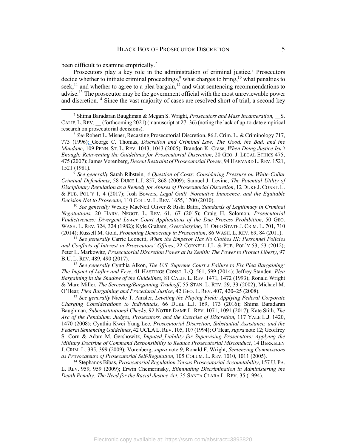been difficult to examine empirically.<sup>7</sup>

Prosecutors play a key role in the administration of criminal justice.<sup>8</sup> Prosecutors decide whether to initiate criminal proceedings,<sup>9</sup> what charges to bring,<sup>10</sup> what penalties to seek,<sup>11</sup> and whether to agree to a plea bargain,<sup>12</sup> and what sentencing recommendations to advise.<sup>13</sup> The prosecutor may be the government official with the most unreviewable power and discretion.<sup>14</sup> Since the vast majority of cases are resolved short of trial, a second key

<sup>9</sup> *See generally* Sarah Ribstein, *A Question of Costs: Considering Pressure on White-Collar Criminal Defendants*, 58 DUKE L.J. 857, 868 (2009); Samuel J. Levine, *The Potential Utility of Disciplinary Regulation as a Remedy for Abuses of Prosecutorial Discretion*, 12 DUKE J. CONST. L. & PUB. POL'Y 1, 4 (2017); Josh Bowers, *Legal Guilt, Normative Innocence, and the Equitable Decision Not to Prosecute*, 110 COLUM. L. REV. 1655, 1700 (2010).

<sup>10</sup> *See generally* Wesley MacNeil Oliver & Rishi Batra, *Standards of Legitimacy in Criminal Negotiations*, 20 HARV. NEGOT. L. REV. 61, 67 (2015); Craig H. Solomon, *Prosecutorial Vindictiveness: Divergent Lower Court Applications of the Due Process Prohibition*, 50 GEO. WASH. L. REV. 324, 324 (1982); Kyle Graham, *Overcharging*, 11 OHIO STATE J. CRIM. L. 701, 710 (2014); Russell M. Gold, *Promoting Democracy in Prosecution*, 86 WASH. L. REV. 69, 84 (2011).

<sup>11</sup> *See generally* Carrie Leonetti, *When the Emperor Has No Clothes III: Personnel Policies and Conflicts of Interest in Prosecutors' Offices*, 22 CORNELL J.L. & PUB. POL'Y 53, 53 (2012); Peter L. Markowitz, *Prosecutorial Discretion Power at Its Zenith: The Power to Protect Liberty*, 97 B.U. L. REV. 489, 490 (2017).

<sup>12</sup> *See generally* Cynthia Alkon, *The U.S. Supreme Court's Failure to Fix Plea Bargaining: The Impact of Lafler and Frye*, 41 HASTINGS CONST. L.Q. 561, 599 (2014); Jeffrey Standen*, Plea Bargaining in the Shadow of the Guidelines*, 81 CALIF. L. REV. 1471, 1472 (1993); Ronald Wright & Marc Miller, *The Screening/Bargaining Tradeoff*, 55 STAN. L. REV. 29, 33 (2002); Michael M. O'Hear, *Plea Bargaining and Procedural Justice*, 42 GEO. L. REV. 407, 420–25 (2008).

<sup>13</sup> *See generally* Nicole T. Amsler, *Leveling the Playing Field: Applying Federal Corporate Charging Considerations to Individuals*, 66 DUKE L.J. 169, 173 (2016); Shima Baradaran Baughman, *Subconstitutional Checks*, 92 NOTRE DAME L. REV. 1071, 1091 (2017); Kate Stith, *The Arc of the Pendulum: Judges, Prosecutors, and the Exercise of Discretion*, 117 YALE L.J. 1420, 1470 (2008); Cynthia Kwei Yung Lee, *Prosecutorial Discretion, Substantial Assistance, and the Federal Sentencing Guidelines*, 42 UCLAL.REV. 105, 107 (1994); O'Hear, *supra* note 12; Geoffrey S. Corn & Adam M. Gershowitz, *Imputed Liability for Supervising Prosecutors: Applying the Military Doctrine of Command Responsibility to Reduce Prosecutorial Misconduct*, 14 BERKELEY J. CRIM. L. 395, 399 (2009); Vorenberg, *supra* note 9; Ronald F. Wright, *Sentencing Commissions as Provocateurs of Prosecutorial Self-Regulation*, 105 COLUM. L. REV. 1010, 1011 (2005).

<sup>14</sup> Stephanos Bibas, *Prosecutorial Regulation Versus Prosecutorial Accountability*, 157 U. PA. L. REV. 959, 959 (2009); Erwin Chemerinsky, *Eliminating Discrimination in Administering the Death Penalty: The Need for the Racial Justice Act*. 35 SANTA CLARA L. REV. 35 (1994).

 <sup>7</sup> Shima Baradaran Baughman & Megan S. Wright, *Prosecutors and Mass Incarceration*, \_\_S. CALIF. L.REV. \_\_ (forthcoming 2021) (manuscript at 27–36) (noting the lack of up-to-date empirical research on prosecutorial decisions).

<sup>8</sup> *See* Robert L. Misner, Recasting Prosecutorial Discretion, 86 J. Crim. L. & Criminology 717, 773 (1996); George C. Thomas, *Discretion and Criminal Law: The Good, the Bad, and the Mundane*, 109 PENN. ST. L. REV. 1043, 1043 (2005); Brandon K. Crase, *When Doing Justice Isn't Enough: Reinventing the Guidelines for Prosecutorial Discretion*, 20 GEO. J. LEGAL ETHICS 475, 475 (2007); James Vorenberg, *Decent Restraint of Prosecutorial Power*, 94 HARVARD L.REV. 1521, 1521 (1981).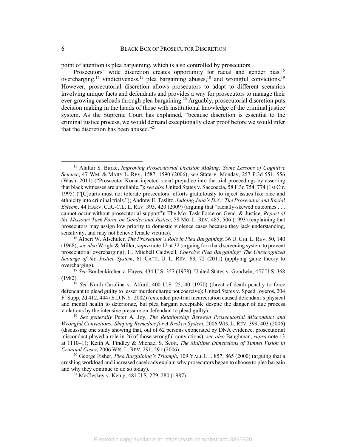point of attention is plea bargaining, which is also controlled by prosecutors.

Prosecutors' wide discretion creates opportunity for racial and gender bias,<sup>15</sup> overcharging,<sup>16</sup> vindictiveness,<sup>17</sup> plea bargaining abuses,<sup>18</sup> and wrongful convictions.<sup>19</sup> However, prosecutorial discretion allows prosecutors to adapt to different scenarios involving unique facts and defendants and provides a way for prosecutors to manage their ever-growing caseloads through plea-bargaining.<sup>20</sup> Arguably, prosecutorial discretion puts decision making in the hands of those with institutional knowledge of the criminal justice system. As the Supreme Court has explained, "because discretion is essential to the criminal justice process, we would demand exceptionally clear proof before we would infer that the discretion has been abused."21

 <sup>15</sup> Alafair S. Burke, *Improving Prosecutorial Decision Making: Some Lessons of Cognitive Science*, 47 WM. & MARY L. REV. 1587, 1590 (2006); *see* State v. Monday, 257 P.3d 551, 556 (Wash. 2011) ("Prosecutor Konat injected racial prejudice into the trial proceedings by asserting that black witnesses are unreliable."); *see also* United States v. Saccoccia, 58 F.3d 754, 774 (1st Cir. 1995) ("[C]ourts must not tolerate prosecutors' efforts gratuitously to inject issues like race and ethnicity into criminal trials."); Andrew E. Taslitz, *Judging Jena's D.A.: The Prosecutor and Racial Esteem*, 44 HARV. C.R.-C.L. L. REV. 393, 420 (2009) (arguing that "racially-skewed outcomes . . . cannot occur without prosecutorial support"); The Mo. Task Force on Gend. & Justice, *Report of the Missouri Task Force on Gender and Justice*, 58 MO. L. REV. 485, 506 (1993) (explaining that prosecutors may assign low priority to domestic violence cases because they lack understanding, sensitivity, and may not believe female victims).

<sup>16</sup> Albert W. Alschuler, *The Prosecutor's Role in Plea Bargaining*, 36 U. CHI. L. REV. 50, 140 (1968); *see also* Wright & Miller, *supra* note 12 at 32 (arguing for a hard screening system to prevent prosecutorial overcharging); H. Mitchell Caldwell, *Coercive Plea Bargaining: The Unrecognized Scourge of the Justice System*, 61 CATH. U. L. REV. 63, 72 (2011) (applying game theory to overcharging).

<sup>17</sup> *See* Bordenkircher v. Hayes, 434 U.S. 357 (1978); United States v. Goodwin, 457 U.S. 368 (1982).

<sup>18</sup> *See* North Carolina v. Alford, 400 U.S. 25, 40 (1970) (threat of death penalty to force defendant to plead guilty to lesser murder charge not coercive); United States v. Speed Joyeros, 204 F. Supp. 2d 412, 444 (E.D.N.Y. 2002) (extended pre-trial incarceration caused defendant's physical and mental health to deteriorate, but plea bargain acceptable despite the danger of due process violations by the intensive pressure on defendant to plead guilty).

<sup>19</sup> *See generally* Peter A. Joy, *The Relationship Between Prosecutorial Misconduct and Wrongful Convictions: Shaping Remedies for A Broken System*, 2006 WIS. L. REV. 399, 403 (2006) (discussing one study showing that, out of 62 persons exonerated by DNA evidence, prosecutorial misconduct played a role in 26 of those wrongful convictions); *see also* Baughman, *supra* note 13 at 1110–11; Keith A. Findley & Michael S. Scott, *The Multiple Dimensions of Tunnel Vision in Criminal Cases*, 2006 WIS. L. REV. 291, 291 (2006).

<sup>20</sup> George Fisher, *Plea Bargaining's Triumph*, 109 YALE L.J. 857, 865 (2000) (arguing that a crushing workload and increased caseloads explain why prosecutors began to choose to plea bargain and why they continue to do so today).

<sup>21</sup> McCleskey v. Kemp, 481 U.S. 279, 280 (1987).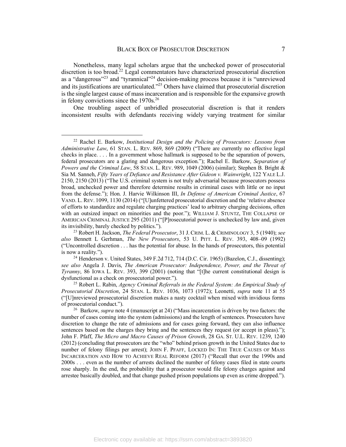Nonetheless, many legal scholars argue that the unchecked power of prosecutorial discretion is too broad.<sup>22</sup> Legal commentators have characterized prosecutorial discretion as a "dangerous"<sup>23</sup> and "tyrannical"24 decision-making process because it is "unreviewed and its justifications are unarticulated.<sup>225</sup> Others have claimed that prosecutorial discretion is the single largest cause of mass incarceration and is responsible for the expansive growth in felony convictions since the  $1970s^{26}$ 

One troubling aspect of unbridled prosecutorial discretion is that it renders inconsistent results with defendants receiving widely varying treatment for similar

 <sup>22</sup> Rachel E. Barkow, *Institutional Design and the Policing of Prosecutors: Lessons from Administrative Law*, 61 STAN. L. REV. 869, 869 (2009) ("There are currently no effective legal checks in place. . . . In a government whose hallmark is supposed to be the separation of powers, federal prosecutors are a glaring and dangerous exception."); Rachel E. Barkow, *Separation of Powers and the Criminal Law*, 58 STAN. L. REV. 989, 1049 (2006) (similar); Stephen B. Bright & Sia M. Sanneh, *Fifty Years of Defiance and Resistance After Gideon v. Wainwright*, 122 YALE L.J. 2150, 2150 (2013) ("The U.S. criminal system is not truly adversarial because prosecutors possess broad, unchecked power and therefore determine results in criminal cases with little or no input from the defense."); Hon. J. Harvie Wilkinson III, *In Defense of American Criminal Justice*, 67 VAND. L. REV. 1099, 1130 (2014) ("[U]unfettered prosecutorial discretion and the 'relative absence of efforts to standardize and regulate charging practices' lead to arbitrary charging decisions, often with an outsized impact on minorities and the poor."); WILLIAM J. STUNTZ, THE COLLAPSE OF AMERICAN CRIMINAL JUSTICE 295 (2011) ("[P]rosecutorial power is unchecked by law and, given its invisibility, barely checked by politics.").

<sup>&</sup>lt;sup>23</sup> Robert H. Jackson, *The Federal Prosecutor*, 31 J. CRIM. L. & CRIMINOLOGY 3, 5 (1940); *see also* Bennett L Gerhman, *The New Prosecutors*, 53 U. PITT. L. REV. 393, 408–09 (1992) ("Uncontrolled discretion . . . has the potential for abuse. In the hands of prosecutors, this potential is now a reality.").

 $^{24}$  Henderson v. United States, 349 F.2d 712, 714 (D.C. Cir. 1965) (Bazelon, C.J., dissenting); *see also* Angela J. Davis, *The American Prosecutor: Independence, Power, and the Threat of Tyranny*, 86 IOWA L. REV. 393, 399 (2001) (noting that "[t]he current constitutional design is dysfunctional as a check on prosecutorial power.").

<sup>25</sup> Robert L. Rabin, *Agency Criminal Referrals in the Federal System: An Empirical Study of Prosecutorial Discretion*, 24 STAN. L. REV. 1036, 1073 (1972); Leonetti, *supra* note 11 at 55 ("[U]nreviewed prosecutorial discretion makes a nasty cocktail when mixed with invidious forms of prosecutorial conduct.").

<sup>26</sup> Barkow, *supra* note 4 (manuscript at 24) ("Mass incarceration is driven by two factors: the number of cases coming into the system (admissions) and the length of sentences. Prosecutors have discretion to change the rate of admissions and for cases going forward, they can also influence sentences based on the charges they bring and the sentences they request (or accept in pleas)."); John F. Pfaff, *The Micro and Macro Causes of Prison Growth*, 28 GA. ST. U.L. REV. 1239, 1240 (2012) (concluding that prosecutors are the "who" behind prison growth in the United States due to number of felony filings per arrest); JOHN F. PFAFF, LOCKED IN: THE TRUE CAUSES OF MASS INCARCERATION AND HOW TO ACHIEVE REAL REFORM (2017) ("Recall that over the 1990s and 2000s . . . even as the number of arrests declined the number of felony cases filed in state courts rose sharply. In the end, the probability that a prosecutor would file felony charges against and arrestee basically doubled, and that change pushed prison populations up even as crime dropped.").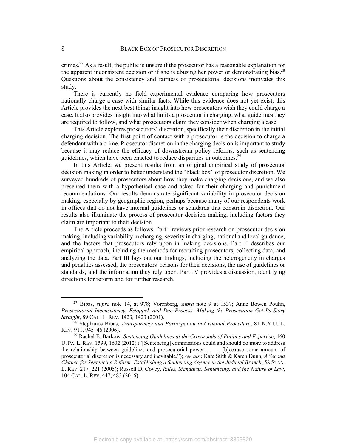crimes.<sup>27</sup> As a result, the public is unsure if the prosecutor has a reasonable explanation for the apparent inconsistent decision or if she is abusing her power or demonstrating bias.<sup>28</sup> Questions about the consistency and fairness of prosecutorial decisions motivates this study.

There is currently no field experimental evidence comparing how prosecutors nationally charge a case with similar facts. While this evidence does not yet exist, this Article provides the next best thing: insight into how prosecutors wish they could charge a case. It also provides insight into what limits a prosecutor in charging, what guidelines they are required to follow, and what prosecutors claim they consider when charging a case.

This Article explores prosecutors' discretion, specifically their discretion in the initial charging decision. The first point of contact with a prosecutor is the decision to charge a defendant with a crime. Prosecutor discretion in the charging decision is important to study because it may reduce the efficacy of downstream policy reforms, such as sentencing guidelines, which have been enacted to reduce disparities in outcomes.<sup>29</sup>

In this Article, we present results from an original empirical study of prosecutor decision making in order to better understand the "black box" of prosecutor discretion. We surveyed hundreds of prosecutors about how they make charging decisions, and we also presented them with a hypothetical case and asked for their charging and punishment recommendations. Our results demonstrate significant variability in prosecutor decision making, especially by geographic region, perhaps because many of our respondents work in offices that do not have internal guidelines or standards that constrain discretion. Our results also illuminate the process of prosecutor decision making, including factors they claim are important to their decision.

The Article proceeds as follows. Part I reviews prior research on prosecutor decision making, including variability in charging, severity in charging, national and local guidance, and the factors that prosecutors rely upon in making decisions. Part II describes our empirical approach, including the methods for recruiting prosecutors, collecting data, and analyzing the data. Part III lays out our findings, including the heterogeneity in charges and penalties assessed, the prosecutors' reasons for their decisions, the use of guidelines or standards, and the information they rely upon. Part IV provides a discussion, identifying directions for reform and for further research.

 <sup>27</sup> Bibas, *supra* note 14, at 978; Vorenberg, *supra* note 9 at 1537; Anne Bowen Poulin, *Prosecutorial Inconsistency, Estoppel, and Due Process: Making the Prosecution Get Its Story Straight*, 89 CAL. L. REV. 1423, 1423 (2001).

<sup>28</sup> Stephanos Bibas, *Transparency and Participation in Criminal Procedure*, 81 N.Y.U. L. REV. 911, 945–46 (2006).

<sup>29</sup> Rachel E. Barkow*, Sentencing Guidelines at the Crossroads of Politics and Expertise*, 160 U. PA. L. REV. 1599, 1602 (2012) ("[Sentencing] commissions could and should do more to address the relationship between guidelines and prosecutorial power . . . . [b]ecause some amount of prosecutorial discretion is necessary and inevitable."); *see also* Kate Stith & Karen Dunn, *A Second Chance for Sentencing Reform: Establishing a Sentencing Agency in the Judicial Branch*, 58 STAN. L. REV. 217, 221 (2005); Russell D. Covey, *Rules, Standards, Sentencing, and the Nature of Law*, 104 CAL. L. REV. 447, 483 (2016).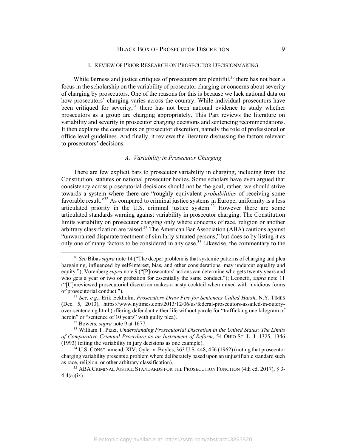#### I. REVIEW OF PRIOR RESEARCH ON PROSECUTOR DECISIONMAKING

While fairness and justice critiques of prosecutors are plentiful,  $30$  there has not been a focus in the scholarship on the variability of prosecutor charging or concerns about severity of charging by prosecutors. One of the reasons for this is because we lack national data on how prosecutors' charging varies across the country. While individual prosecutors have been critiqued for severity, $3<sup>1</sup>$  there has not been national evidence to study whether prosecutors as a group are charging appropriately. This Part reviews the literature on variability and severity in prosecutor charging decisions and sentencing recommendations. It then explains the constraints on prosecutor discretion, namely the role of professional or office level guidelines. And finally, it reviews the literature discussing the factors relevant to prosecutors' decisions.

#### *A. Variability in Prosecutor Charging*

There are few explicit bars to prosecutor variability in charging, including from the Constitution, statutes or national prosecutor bodies. Some scholars have even argued that consistency across prosecutorial decisions should not be the goal; rather, we should strive towards a system where there are "roughly equivalent *probabilities* of receiving some favorable result."<sup>32</sup> As compared to criminal justice systems in Europe, uniformity is a less articulated priority in the U.S. criminal justice system.<sup>33</sup> However there are some articulated standards warning against variability in prosecutor charging. The Constitution limits variability on prosecutor charging only where concerns of race, religion or another arbitrary classification are raised.<sup>34</sup> The American Bar Association (ABA) cautions against "unwarranted disparate treatment of similarly situated persons," but does so by listing it as only one of many factors to be considered in any case.<sup>35</sup> Likewise, the commentary to the

 <sup>30</sup> *See* Bibas *supra* note 14 ("The deeper problem is that systemic patterns of charging and plea bargaining, influenced by self-interest, bias, and other considerations, may undercut equality and equity."); Vorenberg *supra* note 9 ("[P]rosecutors' actions can determine who gets twenty years and who gets a year or two or probation for essentially the same conduct."); Leonetti, *supra* note 11 ("[U]nreviewed prosecutorial discretion makes a nasty cocktail when mixed with invidious forms of prosecutorial conduct.").

<sup>31</sup> *See, e.g.*, Erik Eckholm, *Prosecutors Draw Fire for Sentences Called Harsh*, N.Y. TIMES (Dec. 5, 2013), https://www.nytimes.com/2013/12/06/us/federal-prosecutors-assailed-in-outcryover-sentencing.html (offering defendant either life without parole for "trafficking one kilogram of heroin" or "sentence of 10 years" with guilty plea).

<sup>32</sup> Bowers, *supra* note 9 at 1677.

<sup>33</sup> William T. Pizzi, *Understanding Prosecutorial Discretion in the United States: The Limits of Comparative Criminal Procedure as an Instrument of Reform*, 54 OHIO ST. L. J. 1325, 1346 (1993) (citing the variability in jury decisions as one example).

<sup>&</sup>lt;sup>34</sup> U.S. CONST. amend. XIV; Oyler v. Boyles, 363 U.S. 448, 456 (1962) (noting that prosecutor charging variability presents a problem where deliberately based upon an unjustifiable standard such as race, religion, or other arbitrary classification).

<sup>&</sup>lt;sup>35</sup> ABA CRIMINAL JUSTICE STANDARDS FOR THE PROSECUTION FUNCTION (4th ed. 2017), § 3- $4.4(a)(ix)$ .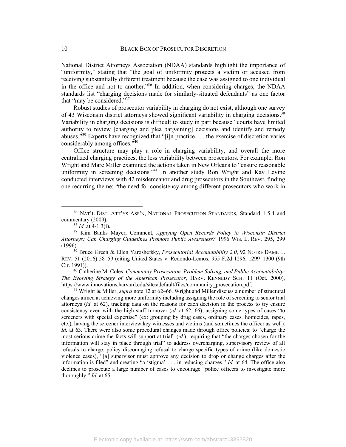National District Attorneys Association (NDAA) standards highlight the importance of "uniformity," stating that "the goal of uniformity protects a victim or accused from receiving substantially different treatment because the case was assigned to one individual in the office and not to another."36 In addition, when considering charges, the NDAA standards list "charging decisions made for similarly-situated defendants" as one factor that "may be considered."37

Robust studies of prosecutor variability in charging do not exist, although one survey of 43 Wisconsin district attorneys showed significant variability in charging decisions.<sup>38</sup> Variability in charging decisions is difficult to study in part because "courts have limited authority to review [charging and plea bargaining] decisions and identify and remedy abuses."39 Experts have recognized that "[i]n practice . . . the exercise of discretion varies considerably among offices.<sup>740</sup>

Office structure may play a role in charging variability, and overall the more centralized charging practices, the less variability between prosecutors. For example, Ron Wright and Marc Miller examined the actions taken in New Orleans to "ensure reasonable uniformity in screening decisions."<sup>41</sup> In another study Ron Wright and Kay Levine conducted interviews with 42 misdemeanor and drug prosecutors in the Southeast, finding one recurring theme: "the need for consistency among different prosecutors who work in

<sup>40</sup> Catherine M. Coles, *Community Prosecution, Problem Solving, and Public Accountability: The Evolving Strategy of the American Prosecutor*, HARV. KENNEDY SCH. 11 (Oct. 2000), https://www.innovations.harvard.edu/sites/default/files/community\_prosecution.pdf.

<sup>41</sup> Wright & Miller, *supra* note 12 at 62–66. Wright and Miller discuss a number of structural changes aimed at achieving more uniformity including assigning the role of screening to senior trial attorneys (*id.* at 62), tracking data on the reasons for each decision in the process to try ensure consistency even with the high staff turnover (*id.* at 62, 66), assigning some types of cases "to screeners with special expertise" (ex: grouping by drug cases, ordinary cases, homicides, rapes, etc.), having the screener interview key witnesses and victims (and sometimes the officer as well). *Id.* at 63. There were also some procedural changes made through office policies: to "charge the most serious crime the facts will support at trial" (*id.*), requiring that "the charges chosen for the information will stay in place through trial" to address overcharging, supervisory review of all refusals to charge, policy discouraging refusal to charge specific types of crime (like domestic violence cases), "[a] supervisor must approve any decision to drop or change charges after the information is filed" and creating "a 'stigma' . . . in reducing charges." *Id.* at 64. The office also declines to prosecute a large number of cases to encourage "police officers to investigate more thoroughly." *Id.* at 65.

 <sup>36</sup> NAT'L DIST. ATT'YS ASS'N, NATIONAL PROSECUTION STANDARDS, Standard 1-5.4 and commentary (2009).

 $37$  *Id.* at 4-1.3(i).

<sup>38</sup> Kim Banks Mayer, Comment, *Applying Open Records Policy to Wisconsin District Attorneys: Can Charging Guidelines Promote Public Awareness?* 1996 WIS. L. REV. 295, 299 (1996).

<sup>&</sup>lt;sup>39</sup> Bruce Green & Ellen Yaroshefsky, *Prosecutorial Accountability 2.0*, 92 NOTRE DAME L. REV. 51 (2016) 58–59 (citing United States v. Redondo-Lemos, 955 F.2d 1296, 1299–1300 (9th Cir. 1991)).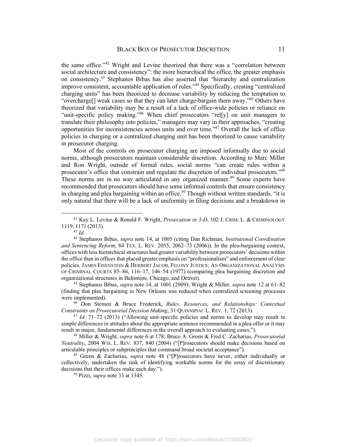the same office."<sup>42</sup> Wright and Levine theorized that there was a "correlation between social architecture and consistency": the more hierarchical the office, the greater emphasis on consistency.43 Stephanos Bibas has also asserted that "hierarchy and centralization improve consistent, accountable application of rules."44 Specifically, creating "centralized charging units" has been theorized to decrease variability by reducing the temptation to "overcharge[] weak cases so that they can later charge-bargain them away."<sup>45</sup> Others have theorized that variability may be a result of a lack of office-wide policies or reliance on "unit-specific policy making."<sup>46</sup> When chief prosecutors "rel[y] on unit managers to translate their philosophy into policies," managers may vary in their approaches, "creating opportunities for inconsistencies across units and over time."47 Overall the lack of office policies in charging or a centralized charging unit has been theorized to cause variability in prosecutor charging.

Most of the controls on prosecutor charging are imposed informally due to social norms, although prosecutors maintain considerable discretion. According to Marc Miller and Ron Wright, outside of formal rules, social norms "can create rules within a prosecutor's office that constrain and regulate the discretion of individual prosecutors."48 These norms are in no way articulated in any organized manner.<sup>49</sup> Some experts have recommended that prosecutors should have some informal controls that ensure consistency in charging and plea bargaining within an office.<sup>50</sup> Though without written standards, "it is only natural that there will be a lack of uniformity in filing decisions and a breakdown in

<sup>43</sup> *Id.*

<sup>45</sup> Stephanos Bibas, *supra* note 14, at 1001 (2009); Wright & Miller, *supra* note 12 at 61–82 (finding that plea bargaining in New Orleans was reduced when centralized screening processes were implemented).

<sup>46</sup> Don Stemen & Bruce Frederick, *Rules, Resources, and Relationships: Contextual Constraints on Prosecutorial Decision Making*, 31 QUINNIPIAC L. REV. 1, 72 (2013).

<sup>49</sup> Green & Zacharias, *supra* note 48 ("[P]rosecutors have never, either individually or collectively, undertaken the task of identifying workable norms for the array of discretionary decisions that their offices make each day.").

<sup>50</sup> Pizzi, *supra* note 33 at 1345.

 <sup>42</sup> Kay L. Levine & Ronald F. Wright, *Prosecution in 3-D*, 102 J. CRIM. L. & CRIMINOLOGY 1119, 1171 (2013).

<sup>44</sup> Stephanos Bibas, *supra* note 14, at 1005 (citing Dan Richman, *Institutional Coordination and Sentencing Reform*, 84 TEX. L. REV. 2055, 2062–73 (2006)). In the plea-bargaining context, offices with less hierarchical structures had greater variability between prosecutors' decisions within the office than in offices that placed greater emphasis on "professionalism" and enforcement of clear policies. JAMES EISENSTEIN & HERBERT JACOB, FELONY JUSTICE: AN ORGANIZATIONAL ANALYSIS OF CRIMINAL COURTS 85–86, 116–17, 146–54 (1977) (comparing plea bargaining discretion and organizational structures in Baltimore, Chicago, and Detroit).

<sup>47</sup> *Id.* 71–72 (2013) ("Allowing unit-specific policies and norms to develop may result in simple differences in attitudes about the appropriate sentence recommended in a plea offer or it may result in major, fundamental differences in the overall approach to evaluating cases.").

<sup>48</sup> Miller & Wright, *supra* note 6 at 178; Bruce A. Green & Fred C. Zacharias, *Prosecutorial Neutrality*, 2004 WIS. L. REV. 837, 840 (2004) ("[P]rosecutors should make decisions based on articulable principles or subprinciples that command broad societal acceptance").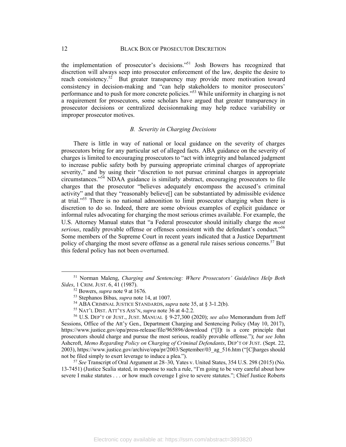the implementation of prosecutor's decisions."51 Josh Bowers has recognized that discretion will always seep into prosecutor enforcement of the law, despite the desire to reach consistency.<sup>52</sup> But greater transparency may provide more motivation toward consistency in decision-making and "can help stakeholders to monitor prosecutors' performance and to push for more concrete policies."53 While uniformity in charging is not a requirement for prosecutors, some scholars have argued that greater transparency in prosecutor decisions or centralized decisionmaking may help reduce variability or improper prosecutor motives.

#### *B. Severity in Charging Decisions*

There is little in way of national or local guidance on the severity of charges prosecutors bring for any particular set of alleged facts. ABA guidance on the severity of charges is limited to encouraging prosecutors to "act with integrity and balanced judgment to increase public safety both by pursuing appropriate criminal charges of appropriate severity," and by using their "discretion to not pursue criminal charges in appropriate circumstances."54 NDAA guidance is similarly abstract, encouraging prosecutors to file charges that the prosecutor "believes adequately encompass the accused's criminal activity" and that they "reasonably believe[] can be substantiated by admissible evidence at trial."55 There is no national admonition to limit prosecutor charging when there is discretion to do so. Indeed, there are some obvious examples of explicit guidance or informal rules advocating for charging the most serious crimes available. For example, the U.S. Attorney Manual states that "a Federal prosecutor should initially charge the *most serious*, readily provable offense or offenses consistent with the defendant's conduct."56 Some members of the Supreme Court in recent years indicated that a Justice Department policy of charging the most severe offense as a general rule raises serious concerns.<sup>57</sup> But this federal policy has not been overturned.

 <sup>51</sup> Norman Maleng, *Charging and Sentencing: Where Prosecutors' Guidelines Help Both Sides*, 1 CRIM. JUST. 6, 41 (1987).

<sup>52</sup> Bowers, *supra* note 9 at 1676.

<sup>53</sup> Stephanos Bibas, *supra* note 14, at 1007.

<sup>54</sup> ABA CRIMINAL JUSTICE STANDARDS, *supra* note 35, at § 3-1.2(b).

<sup>55</sup> NAT'L DIST. ATT'YS ASS'N, *supra* note 36 at 4-2.2.

<sup>56</sup> U.S. DEP'T OF JUST., JUST. MANUAL § 9-27,300 (2020); *see also* Memorandum from Jeff Sessions, Office of the Att'y Gen., Department Charging and Sentencing Policy (May 10, 2017), https://www.justice.gov/opa/press-release/file/965896/download ("[I]t is a core principle that prosecutors should charge and pursue the most serious, readily provable offense."); *but see* John Ashcroft, *Memo Regarding Policy on Charging of Criminal Defendants*, DEP'T OF JUST. (Sept. 22, 2003), https://www.justice.gov/archive/opa/pr/2003/September/03\_ag\_516.htm ("[C]harges should not be filed simply to exert leverage to induce a plea.").

<sup>57</sup> *See* Transcript of Oral Argument at 28–30, Yates v. United States, 354 U.S. 298 (2015) (No. 13-7451) (Justice Scalia stated, in response to such a rule, "I'm going to be very careful about how severe I make statutes . . . or how much coverage I give to severe statutes."; Chief Justice Roberts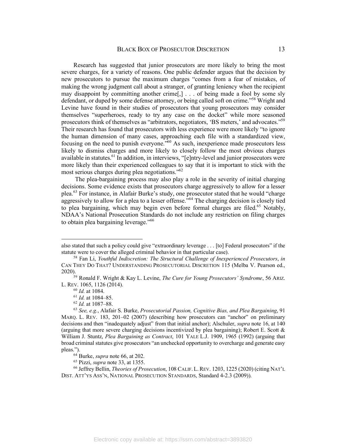Research has suggested that junior prosecutors are more likely to bring the most severe charges, for a variety of reasons. One public defender argues that the decision by new prosecutors to pursue the maximum charges "comes from a fear of mistakes, of making the wrong judgment call about a stranger, of granting leniency when the recipient may disappoint by committing another crime[,] . . . of being made a fool by some sly defendant, or duped by some defense attorney, or being called soft on crime."58 Wright and Levine have found in their studies of prosecutors that young prosecutors may consider themselves "superheroes, ready to try any case on the docket" while more seasoned prosecutors think of themselves as "arbitrators, negotiators, 'BS meters,' and advocates."59 Their research has found that prosecutors with less experience were more likely "to ignore the human dimension of many cases, approaching each file with a standardized view, focusing on the need to punish everyone."60 As such, inexperience made prosecutors less likely to dismiss charges and more likely to closely follow the most obvious charges available in statutes.<sup>61</sup> In addition, in interviews, "[e]ntry-level and junior prosecutors were more likely than their experienced colleagues to say that it is important to stick with the most serious charges during plea negotiations."62

The plea-bargaining process may also play a role in the severity of initial charging decisions. Some evidence exists that prosecutors charge aggressively to allow for a lesser plea.<sup>63</sup> For instance, in Alafair Burke's study, one prosecutor stated that he would "charge aggressively to allow for a plea to a lesser offense.<sup> $564$ </sup> The charging decision is closely tied to plea bargaining, which may begin even before formal charges are filed.<sup>65</sup> Notably, NDAA's National Prosecution Standards do not include any restriction on filing charges to obtain plea bargaining leverage."66

also stated that such a policy could give "extraordinary leverage . . . [to] Federal prosecutors" if the statute were to cover the alleged criminal behavior in that particular case).

<sup>58</sup> Fan Li, *Youthful Indiscretion: The Structural Challenge of Inexperienced Prosecutors*, *in* CAN THEY DO THAT? UNDERSTANDING PROSECUTORIAL DISCRETION 115 (Melba V. Pearson ed.,

<sup>&</sup>lt;sup>59</sup> Ronald F. Wright & Kay L. Levine, *The Cure for Young Prosecutors' Syndrome*, 56 ARIZ. L. REV. 1065, 1126 (2014).

<sup>60</sup> *Id.* at 1084.

<sup>61</sup> *Id.* at 1084–85.

<sup>62</sup> *Id.* at 1087–88.

<sup>63</sup> *See, e.g.*, Alafair S. Burke, *Prosecutorial Passion, Cognitive Bias, and Plea Bargaining*, 91 MARQ. L. REV. 183, 201–02 (2007) (describing how prosecutors can "anchor" on preliminary decisions and then "inadequately adjust" from that initial anchor); Alschuler, *supra* note 16, at 140 (arguing that more severe charging decisions incentivized by plea bargaining); Robert E. Scott  $\&$ William J. Stuntz, *Plea Bargaining as Contract*, 101 YALE L.J. 1909, 1965 (1992) (arguing that broad criminal statutes give prosecutors "an unchecked opportunity to overcharge and generate easy pleas.").

<sup>64</sup> Burke, *supra* note 66, at 202.

<sup>65</sup> Pizzi, *supra* note 33, at 1355.

<sup>66</sup> Jeffrey Bellin, *Theories of Prosecution*, 108 CALIF. L.REV. 1203, 1225 (2020) (citing NAT'L DIST. ATT'YS ASS'N, NATIONAL PROSECUTION STANDARDS, Standard 4-2.3 (2009)).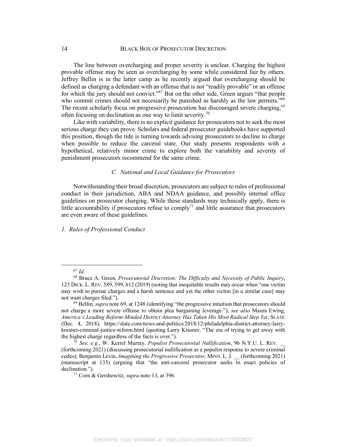The line between overcharging and proper severity is unclear. Charging the highest provable offense may be seen as overcharging by some while considered fair by others. Jeffrey Bellin is in the latter camp as he recently argued that overcharging should be defined as charging a defendant with an offense that is not "readily provable" or an offense for which the jury should not convict."<sup>67</sup> But on the other side, Green argues "that people who commit crimes should not necessarily be punished as harshly as the law permits.<sup>768</sup> The recent scholarly focus on progressive prosecution has discouraged severe charging,<sup>69</sup> often focusing on declination as one way to limit severity.<sup>70</sup>

Like with variability, there is no explicit guidance for prosecutors not to seek the most serious charge they can prove. Scholars and federal prosecutor guidebooks have supported this position, though the tide is turning towards advising prosecutors to decline to charge when possible to reduce the carceral state. Our study presents respondents with a hypothetical, relatively minor crime to explore both the variability and severity of punishment prosecutors recommend for the same crime.

# *C. National and Local Guidance for Prosecutors*

Notwithstanding their broad discretion, prosecutors are subject to rules of professional conduct in their jurisdiction, ABA and NDAA guidance, and possibly internal office guidelines on prosecutor charging. While these standards may technically apply, there is little accountability if prosecutors refuse to comply<sup>71</sup> and little assurance that prosecutors are even aware of these guidelines.

*1. Rules of Professional Conduct*

 <sup>67</sup> *Id.*

<sup>68</sup> Bruce A. Green, *Prosecutorial Discretion: The Difficulty and Necessity of Public Inquiry*, 123 DICK. L. REV. 589, 599, 612 (2019) (noting that inequitable results may occur when "one victim may wish to pursue charges and a harsh sentence and yet the other victim [in a similar case] may not want charges filed.").

<sup>69</sup> Bellin, *supra* note 69, at 1248 (identifying "the progressive intuition that prosecutors should not charge a more severe offense to obtain plea bargaining leverage."); *see also* Maura Ewing, *America's Leading Reform-Minded District Attorney Has Taken His Most Radical Step Yet*, SLATE (Dec. 4, 2018), https://slate.com/news-and-politics/2018/12/philadelphia-district-attorney-larrykrasner-criminal-justice-reform.html (quoting Larry Krasner, "The era of trying to get away with the highest charge regardless of the facts is over.").

<sup>70</sup> *See, e.g.*, W. Kerrel Murray, *Populist Prosecutorial Nullification*, 96 N.Y.U. L. REV. \_\_ (forthcoming 2021) (discussing prosecutorial nullification as a populist response to severe criminal codes); Benjamin Levin, *Imagining the Progressive Prosecutor*, MINN. L.J. \_\_ (forthcoming 2021) (manuscript at 135) (arguing that "the anti-carceral prosecutor seeks to enact policies of declination.").

<sup>71</sup> Corn & Gershowitz, *supra* note 13, at 396.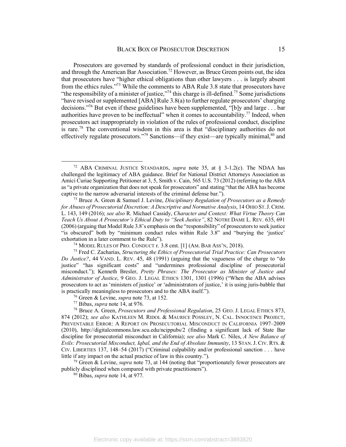Prosecutors are governed by standards of professional conduct in their jurisdiction, and through the American Bar Association.<sup>72</sup> However, as Bruce Green points out, the idea that prosecutors have "higher ethical obligations than other lawyers . . . is largely absent from the ethics rules."73 While the comments to ABA Rule 3.8 state that prosecutors have "the responsibility of a minister of justice,"<sup>74</sup> this charge is ill-defined.<sup>75</sup> Some jurisdictions "have revised or supplemented [ABA] Rule 3.8(a) to further regulate prosecutors' charging decisions."76 But even if these guidelines have been supplemented, "[b]y and large . . . bar authorities have proven to be ineffectual" when it comes to accountability.<sup>77</sup> Indeed, when prosecutors act inappropriately in violation of the rules of professional conduct, discipline is rare.<sup>78</sup> The conventional wisdom in this area is that "disciplinary authorities do not effectively regulate prosecutors."<sup>79</sup> Sanctions—if they exist—are typically minimal, $80$  and

 <sup>72</sup> ABA CRIMINAL JUSTICE STANDARDS, *supra* note 35, at § 3-1.2(c). The NDAA has challenged the legitimacy of ABA guidance. Brief for National District Attorneys Association as Amici Curiae Supporting Petitioner at 3, 5, Smith v. Cain, 565 U.S. 73 (2012) (referring to the ABA as "a private organization that does not speak for prosecutors" and stating "that the ABA has become captive to the narrow adversarial interests of the criminal defense bar.").

<sup>73</sup> Bruce A. Green & Samuel J. Levine, *Disciplinary Regulation of Prosecutors as a Remedy for Abuses of Prosecutorial Discretion: A Descriptive and Normative Analysis*, 14 OHIO ST.J.CRIM. L. 143, 149 (2016); *see also* R. Michael Cassidy, *Character and Context: What Virtue Theory Can Teach Us About A Prosecutor's Ethical Duty to "Seek Justice"*, 82 NOTRE DAME L. REV. 635, 691 (2006) (arguing that Model Rule 3.8's emphasis on the "responsibility" of prosecutors to seek justice "is obscured" both by "minimum conduct rules within Rule 3.8" and "burying the 'justice' exhortation in a later comment to the Rule").

<sup>74</sup> MODEL RULES OF PRO. CONDUCT r. 3.8 cmt. [1] (AM. BAR ASS'N, 2018).

<sup>75</sup> Fred C. Zacharias, *Structuring the Ethics of Prosecutorial Trial Practice: Can Prosecutors Do Justice?*, 44 VAND. L. REV. 45, 48 (1991) (arguing that the vagueness of the charge to "do justice" "has significant costs" and "undermines professional discipline of prosecutorial misconduct."); Kenneth Bresler, *Pretty Phrases: The Prosecutor as Minister of Justice and Administrator of Justice*, 9 GEO. J. LEGAL ETHICS 1301, 1301 (1996) ("When the ABA advises prosecutors to act as 'ministers of justice' or 'administrators of justice,' it is using juris-babble that is practically meaningless to prosecutors and to the ABA itself.").

<sup>76</sup> Green & Levine, *supra* note 73, at 152.

<sup>77</sup> Bibas, *supra* note 14, at 976.

<sup>78</sup> Bruce A. Green, *Prosecutors and Professional Regulation*, 25 GEO. J. LEGAL ETHICS 873, 874 (2012); *see also* KATHLEEN M. RIDOL & MAURICE POSSLEY, N. CAL. INNOCENCE PROJECT, PREVENTABLE ERROR: A REPORT ON PROSECUTORIAL MISCONDUCT IN CALIFORNIA 1997–2009 (2010), http://digitalcommons.law.scu.edu/ncippubs/2 (finding a significant lack of State Bar discipline for prosecutorial misconduct in California); *see also* Mark C. Niles, *A New Balance of Evils: Prosecutorial Misconduct, Iqbal, and the End of Absolute Immunity*, 13 STAN.J. CIV. RTS. & CIV. LIBERTIES 137, 148–54 (2017) ("Criminal culpability and/or professional sanction . . . have little if any impact on the actual practice of law in this country.").

<sup>79</sup> Green & Levine, *supra* note 73, at 144 (noting that "proportionately fewer prosecutors are publicly disciplined when compared with private practitioners").

<sup>80</sup> Bibas, *supra* note 14, at 977.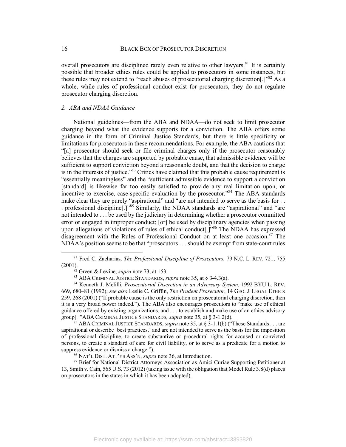overall prosecutors are disciplined rarely even relative to other lawyers. $81$  It is certainly possible that broader ethics rules could be applied to prosecutors in some instances, but these rules may not extend to "reach abuses of prosecutorial charging discretion[.]"<sup>82</sup> As a whole, while rules of professional conduct exist for prosecutors, they do not regulate prosecutor charging discretion.

## *2. ABA and NDAA Guidance*

National guidelines—from the ABA and NDAA—do not seek to limit prosecutor charging beyond what the evidence supports for a conviction. The ABA offers some guidance in the form of Criminal Justice Standards, but there is little specificity or limitations for prosecutors in these recommendations. For example, the ABA cautions that "[a] prosecutor should seek or file criminal charges only if the prosecutor reasonably believes that the charges are supported by probable cause, that admissible evidence will be sufficient to support conviction beyond a reasonable doubt, and that the decision to charge is in the interests of justice."83 Critics have claimed that this probable cause requirement is "essentially meaningless" and the "sufficient admissible evidence to support a conviction [standard] is likewise far too easily satisfied to provide any real limitation upon, or incentive to exercise, case-specific evaluation by the prosecutor."<sup>84</sup> The ABA standards make clear they are purely "aspirational" and "are not intended to serve as the basis for ... . professional discipline[.]"85 Similarly, the NDAA standards are "aspirational" and "are not intended to . . . be used by the judiciary in determining whether a prosecutor committed error or engaged in improper conduct; [or] be used by disciplinary agencies when passing upon allegations of violations of rules of ethical conduct<sup>[1]</sup><sup>86</sup> The NDAA has expressed disagreement with the Rules of Professional Conduct on at least one occasion. $87$  The NDAA's position seems to be that "prosecutors . . . should be exempt from state-court rules

 <sup>81</sup> Fred C. Zacharias, *The Professional Discipline of Prosecutors*, 79 N.C. L. REV. 721, 755 (2001).

 $\frac{82}{2}$  Green & Levine, *supra* note 73, at 153.

<sup>83</sup> ABA CRIMINAL JUSTICE STANDARDS, *supra* note 35, at § 3-4.3(a).

<sup>84</sup> Kenneth J. Melilli, *Prosecutorial Discretion in an Adversary System*, 1992 BYU L. REV. 669, 680–81 (1992); *see also* Leslie C. Griffin, *The Prudent Prosecutor*, 14 GEO. J. LEGAL ETHICS 259, 268 (2001) ("If probable cause is the only restriction on prosecutorial charging discretion, then it is a very broad power indeed."). The ABA also encourages prosecutors to "make use of ethical guidance offered by existing organizations, and . . . to establish and make use of an ethics advisory group[.]"ABA CRIMINAL JUSTICE STANDARDS, *supra* note 35, at § 3-1.2(d).

<sup>85</sup> ABA CRIMINAL JUSTICE STANDARDS, *supra* note 35, at § 3-1.1(b) ("These Standards . . . are aspirational or describe 'best practices,' and are not intended to serve as the basis for the imposition of professional discipline, to create substantive or procedural rights for accused or convicted persons, to create a standard of care for civil liability, or to serve as a predicate for a motion to suppress evidence or dismiss a charge.").

<sup>86</sup> NAT'L DIST. ATT'YS ASS'N, *supra* note 36, at Introduction.

<sup>&</sup>lt;sup>87</sup> Brief for National District Attorneys Association as Amici Curiae Supporting Petitioner at 13, Smith v. Cain, 565 U.S. 73 (2012) (taking issue with the obligation that Model Rule 3.8(d) places on prosecutors in the states in which it has been adopted).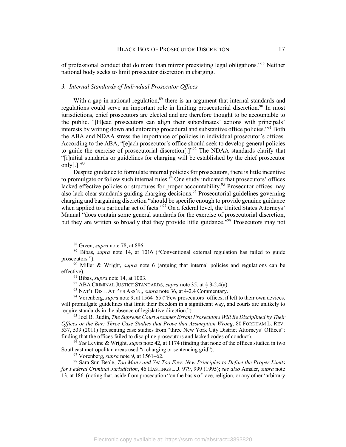of professional conduct that do more than mirror preexisting legal obligations."88 Neither national body seeks to limit prosecutor discretion in charging.

#### *3. Internal Standards of Individual Prosecutor Offices*

With a gap in national regulation,<sup>89</sup> there is an argument that internal standards and regulations could serve an important role in limiting prosecutorial discretion.<sup>90</sup> In most jurisdictions, chief prosecutors are elected and are therefore thought to be accountable to the public. "[H]ead prosecutors can align their subordinates' actions with principals' interests by writing down and enforcing procedural and substantive office policies."91 Both the ABA and NDAA stress the importance of policies in individual prosecutor's offices. According to the ABA, "[e]ach prosecutor's office should seek to develop general policies to guide the exercise of prosecutorial discretion<sup>[1], 992</sup> The NDAA standards clarify that "[i]nitial standards or guidelines for charging will be established by the chief prosecutor only $[.]$ "<sup>93</sup>

Despite guidance to formulate internal policies for prosecutors, there is little incentive to promulgate or follow such internal rules.  $94$  One study indicated that prosecutors' offices lacked effective policies or structures for proper accountability.<sup>95</sup> Prosecutor offices may also lack clear standards guiding charging decisions.<sup>96</sup> Prosecutorial guidelines governing charging and bargaining discretion "should be specific enough to provide genuine guidance when applied to a particular set of facts."<sup>97</sup> On a federal level, the United States Attorneys' Manual "does contain some general standards for the exercise of prosecutorial discretion, but they are written so broadly that they provide little guidance.<sup>598</sup> Prosecutors may not

<sup>96</sup> *See* Levine & Wright, *supra* note 42, at 1174 (finding that none of the offices studied in two Southeast metropolitan areas used "a charging or sentencing grid").

 <sup>88</sup> Green, *supra* note 78, at 886.

<sup>89</sup> Bibas, *supra* note 14, at 1016 ("Conventional external regulation has failed to guide prosecutors.").

<sup>90</sup> Miller & Wright, *supra* note 6 (arguing that internal policies and regulations can be effective).

<sup>91</sup> Bibas, *supra* note 14, at 1003.

<sup>92</sup> ABA CRIMINAL JUSTICE STANDARDS, *supra* note 35, at § 3-2.4(a).

<sup>93</sup> NAT'L DIST. ATT'YS ASS'N,, *supra* note 36, at 4-2.4 Commentary.

<sup>94</sup> Vorenberg, *supra* note 9, at 1564–65 ("Few prosecutors' offices, if left to their own devices, will promulgate guidelines that limit their freedom in a significant way, and courts are unlikely to require standards in the absence of legislative direction.").

<sup>95</sup> Joel B. Rudin, *The Supreme Court Assumes Errant Prosecutors Will Be Disciplined by Their Offices or the Bar: Three Case Studies that Prove that Assumption Wrong*, 80 FORDHAM L. REV. 537, 539 (2011) (presenting case studies from "three New York City District Attorneys' Offices"; finding that the offices failed to discipline prosecutors and lacked codes of conduct).

<sup>97</sup> Vorenberg, *supra* note 9, at 1561–62.

<sup>98</sup> Sara Sun Beale, *Too Many and Yet Too Few: New Principles to Define the Proper Limits for Federal Criminal Jurisdiction*, 46 HASTINGS L.J. 979, 999 (1995); *see also* Amsler, *supra* note 13, at 186 (noting that, aside from prosecution "on the basis of race, religion, or any other 'arbitrary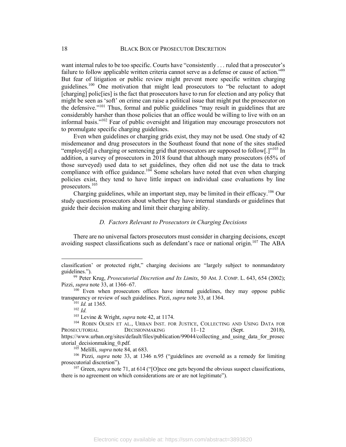want internal rules to be too specific. Courts have "consistently . . . ruled that a prosecutor's failure to follow applicable written criteria cannot serve as a defense or cause of action."<sup>99</sup> But fear of litigation or public review might prevent more specific written charging guidelines.<sup>100</sup> One motivation that might lead prosecutors to "be reluctant to adopt [charging] polic<sup>[ies]</sup> is the fact that prosecutors have to run for election and any policy that might be seen as 'soft' on crime can raise a political issue that might put the prosecutor on the defensive."101 Thus, formal and public guidelines "may result in guidelines that are considerably harsher than those policies that an office would be willing to live with on an informal basis."102 Fear of public oversight and litigation may encourage prosecutors not to promulgate specific charging guidelines.

Even when guidelines or charging grids exist, they may not be used. One study of 42 misdemeanor and drug prosecutors in the Southeast found that none of the sites studied "employe[d] a charging or sentencing grid that prosecutors are supposed to follow[.] $v^{103}$  In addition, a survey of prosecutors in 2018 found that although many prosecutors (65% of those surveyed) used data to set guidelines, they often did not use the data to track compliance with office guidance.<sup>104</sup> Some scholars have noted that even when charging compliance with office guidance.<sup>104</sup> policies exist, they tend to have little impact on individual case evaluations by line prosecutors.<sup>105</sup>

Charging guidelines, while an important step, may be limited in their efficacy.<sup>106</sup> Our study questions prosecutors about whether they have internal standards or guidelines that guide their decision making and limit their charging ability.

### *D. Factors Relevant to Prosecutors in Charging Decisions*

There are no universal factors prosecutors must consider in charging decisions, except avoiding suspect classifications such as defendant's race or national origin.<sup>107</sup> The ABA

classification' or protected right," charging decisions are "largely subject to nonmandatory guidelines.").

<sup>99</sup> Peter Krug, *Prosecutorial Discretion and Its Limits*, 50 AM. J. COMP. L. 643, 654 (2002); Pizzi, *supra* note 33, at 1366–67.

<sup>&</sup>lt;sup>100</sup> Even when prosecutors offices have internal guidelines, they may oppose public transparency or review of such guidelines. Pizzi, *supra* note 33, at 1364.

<sup>101</sup> *Id.* at 1365.

<sup>102</sup> *Id.*

<sup>103</sup> Levine & Wright, *supra* note 42, at 1174.

<sup>104</sup> ROBIN OLSEN ET AL., URBAN INST. FOR JUSTICE, COLLECTING AND USING DATA FOR PROSECUTORIAL DECISIONMAKING  $11-12$  (Sept. 2018), https://www.urban.org/sites/default/files/publication/99044/collecting\_and\_using\_data\_for\_prosec utorial\_decisionmaking\_0.pdf.

<sup>105</sup> Melilli, *supra* note 84, at 683.

<sup>106</sup> Pizzi, *supra* note 33, at 1346 n.95 ("guidelines are oversold as a remedy for limiting prosecutorial discretion").

<sup>&</sup>lt;sup>107</sup> Green, *supra* note 71, at 614 ("[O]nce one gets beyond the obvious suspect classifications, there is no agreement on which considerations are or are not legitimate").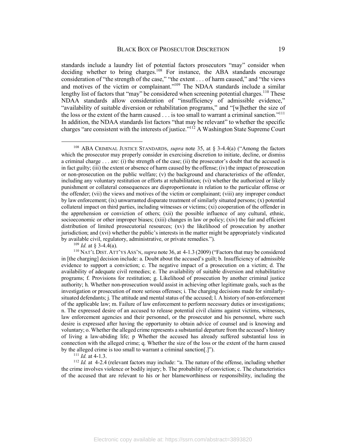standards include a laundry list of potential factors prosecutors "may" consider when deciding whether to bring charges.<sup>108</sup> For instance, the ABA standards encourage consideration of "the strength of the case," "the extent . . . of harm caused," and "the views and motives of the victim or complainant."<sup>109</sup> The NDAA standards include a similar lengthy list of factors that "may" be considered when screening potential charges.<sup>110</sup> These NDAA standards allow consideration of "insufficiency of admissible evidence," "availability of suitable diversion or rehabilitation programs," and "[w]hether the size of the loss or the extent of the harm caused . . . is too small to warrant a criminal sanction."<sup>111</sup> In addition, the NDAA standards list factors "that may be relevant" to whether the specific charges "are consistent with the interests of justice."112 A Washington State Supreme Court

 $109$  *Id.* at § 3-4.4(a).

<sup>111</sup> *Id.* at 4-1.3.

<sup>112</sup> *Id.* at 4-2.4 (relevant factors may include: "a. The nature of the offense, including whether the crime involves violence or bodily injury; b. The probability of conviction; c. The characteristics of the accused that are relevant to his or her blameworthiness or responsibility, including the

 <sup>108</sup> ABA CRIMINAL JUSTICE STANDARDS, *supra* note 35, at § 3-4.4(a) ("Among the factors which the prosecutor may properly consider in exercising discretion to initiate, decline, or dismiss a criminal charge . . . are: (i) the strength of the case; (ii) the prosecutor's doubt that the accused is in fact guilty; (iii) the extent or absence of harm caused by the offense; (iv) the impact of prosecution or non-prosecution on the public welfare; (v) the background and characteristics of the offender, including any voluntary restitution or efforts at rehabilitation; (vi) whether the authorized or likely punishment or collateral consequences are disproportionate in relation to the particular offense or the offender; (vii) the views and motives of the victim or complainant; (viii) any improper conduct by law enforcement; (ix) unwarranted disparate treatment of similarly situated persons; (x) potential collateral impact on third parties, including witnesses or victims; (xi) cooperation of the offender in the apprehension or conviction of others; (xii) the possible influence of any cultural, ethnic, socioeconomic or other improper biases; (xiii) changes in law or policy; (xiv) the fair and efficient distribution of limited prosecutorial resources; (xv) the likelihood of prosecution by another jurisdiction; and (xvi) whether the public's interests in the matter might be appropriately vindicated by available civil, regulatory, administrative, or private remedies.").

<sup>110</sup> NAT'L DIST. ATT'YS ASS'N, *supra* note 36, at 4-1.3 (2009) ("Factors that may be considered in [the charging] decision include: a. Doubt about the accused's guilt; b. Insufficiency of admissible evidence to support a conviction; c. The negative impact of a prosecution on a victim; d. The availability of adequate civil remedies; e. The availability of suitable diversion and rehabilitative programs; f. Provisions for restitution; g. Likelihood of prosecution by another criminal justice authority; h. Whether non-prosecution would assist in achieving other legitimate goals, such as the investigation or prosecution of more serious offenses; i. The charging decisions made for similarlysituated defendants; j. The attitude and mental status of the accused; l. A history of non-enforcement of the applicable law; m. Failure of law enforcement to perform necessary duties or investigations; n. The expressed desire of an accused to release potential civil claims against victims, witnesses, law enforcement agencies and their personnel, or the prosecutor and his personnel, where such desire is expressed after having the opportunity to obtain advice of counsel and is knowing and voluntary; o. Whether the alleged crime represents a substantial departure from the accused's history of living a law-abiding life; p Whether the accused has already suffered substantial loss in connection with the alleged crime; q. Whether the size of the loss or the extent of the harm caused by the alleged crime is too small to warrant a criminal sanction[.]").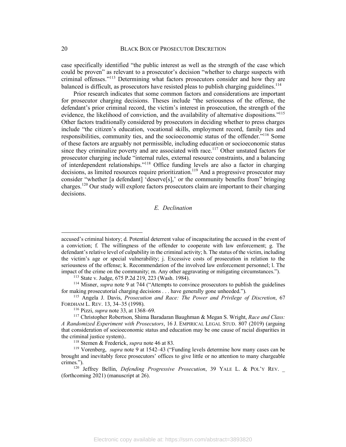case specifically identified "the public interest as well as the strength of the case which could be proven" as relevant to a prosecutor's decision "whether to charge suspects with criminal offenses."113 Determining what factors prosecutors consider and how they are balanced is difficult, as prosecutors have resisted pleas to publish charging guidelines.<sup>114</sup>

Prior research indicates that some common factors and considerations are important for prosecutor charging decisions. Theses include "the seriousness of the offense, the defendant's prior criminal record, the victim's interest in prosecution, the strength of the evidence, the likelihood of conviction, and the availability of alternative dispositions."<sup>115</sup> Other factors traditionally considered by prosecutors in deciding whether to press charges include "the citizen's education, vocational skills, employment record, family ties and responsibilities, community ties, and the socioeconomic status of the offender."116 Some of these factors are arguably not permissible, including education or socioeconomic status since they criminalize poverty and are associated with race.<sup>117</sup> Other unstated factors for prosecutor charging include "internal rules, external resource constraints, and a balancing of interdependent relationships."118 Office funding levels are also a factor in charging decisions, as limited resources require prioritization. <sup>119</sup> And a progressive prosecutor may consider "whether [a defendant] 'deserve[s],' or the community benefits from" bringing charges.<sup>120</sup> Our study will explore factors prosecutors claim are important to their charging decisions.

# *E. Declination*

 $\overline{a}$ 

accused's criminal history; d. Potential deterrent value of incapacitating the accused in the event of a conviction; f. The willingness of the offender to cooperate with law enforcement; g. The defendant's relative level of culpability in the criminal activity; h. The status of the victim, including the victim's age or special vulnerability; j. Excessive costs of prosecution in relation to the seriousness of the offense; k. Recommendation of the involved law enforcement personnel; l. The impact of the crime on the community; m. Any other aggravating or mitigating circumstances.").

<sup>113</sup> State v. Judge, 675 P.2d 219, 223 (Wash. 1984).

<sup>114</sup> Misner, *supra* note 9 at 744 ("Attempts to convince prosecutors to publish the guidelines for making prosecutorial charging decisions . . . have generally gone unheeded.").

<sup>115</sup> Angela J. Davis, *Prosecution and Race: The Power and Privilege of Discretion*, 67 FORDHAM L. REV. 13, 34–35 (1998).

<sup>116</sup> Pizzi, *supra* note 33, at 1368–69.

<sup>117</sup> Christopher Robertson, Shima Baradaran Baughman & Megan S. Wright, *Race and Class: A Randomized Experiment with Prosecutors*, 16 J. EMPIRICAL LEGAL STUD. 807 (2019) (arguing that consideration of socioeconomic status and education may be one cause of racial disparities in the criminal justice system)..

<sup>118</sup> Stemen & Frederick, *supra* note 46 at 83.

<sup>119</sup> Vorenberg, *supra* note 9 at 1542–43 ("Funding levels determine how many cases can be brought and inevitably force prosecutors' offices to give little or no attention to many chargeable crimes.").

<sup>&</sup>lt;sup>120</sup> Jeffrey Bellin, *Defending Progressive Prosecution*, 39 YALE L. & POL'Y REV. (forthcoming 2021) (manuscript at 26).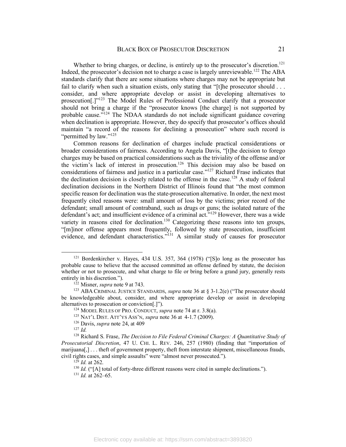Whether to bring charges, or decline, is entirely up to the prosecutor's discretion.<sup>121</sup> Indeed, the prosecutor's decision not to charge a case is largely unreviewable.<sup>122</sup> The ABA standards clarify that there are some situations where charges may not be appropriate but fail to clarify when such a situation exists, only stating that "[t]he prosecutor should . . . consider, and where appropriate develop or assist in developing alternatives to prosecution[.]"123 The Model Rules of Professional Conduct clarify that a prosecutor should not bring a charge if the "prosecutor knows [the charge] is not supported by probable cause."<sup>124</sup> The NDAA standards do not include significant guidance covering when declination is appropriate. However, they do specify that prosecutor's offices should maintain "a record of the reasons for declining a prosecution" where such record is "permitted by law."<sup>125</sup>

Common reasons for declination of charges include practical considerations or broader considerations of fairness. According to Angela Davis, "[t]he decision to forego charges may be based on practical considerations such as the triviality of the offense and/or the victim's lack of interest in prosecution. <sup>126</sup> This decision may also be based on considerations of fairness and justice in a particular case."127 Richard Frase indicates that the declination decision is closely related to the offense in the case.<sup>128</sup> A study of federal declination decisions in the Northern District of Illinois found that "the most common specific reason for declination was the state-prosecution alternative. In order, the next most frequently cited reasons were: small amount of loss by the victims; prior record of the defendant; small amount of contraband, such as drugs or guns; the isolated nature of the defendant's act; and insufficient evidence of a criminal act."129 However, there was a wide variety in reasons cited for declination.<sup>130</sup> Categorizing these reasons into ten groups, "[m]inor offense appears most frequently, followed by state prosecution, insufficient evidence, and defendant characteristics."<sup>131</sup> A similar study of causes for prosecutor

 <sup>121</sup> Bordenkircher v. Hayes, 434 U.S. 357, 364 (1978) ("[S]o long as the prosecutor has probable cause to believe that the accused committed an offense defined by statute, the decision whether or not to prosecute, and what charge to file or bring before a grand jury, generally rests entirely in his discretion.").

<sup>122</sup> Misner, *supra* note 9 at 743.

<sup>&</sup>lt;sup>123</sup> ABA CRIMINAL JUSTICE STANDARDS, *supra* note 36 at § 3-1.2(e) ("The prosecutor should be knowledgeable about, consider, and where appropriate develop or assist in developing alternatives to prosecution or conviction[.]").

<sup>124</sup> MODEL RULES OF PRO. CONDUCT, *supra* note 74 at r. 3.8(a).

<sup>125</sup> NAT'L DIST. ATT'YS ASS'N, *supra* note 36 at 4-1.7 (2009).

<sup>126</sup> Davis, *supra* note 24, at 409

<sup>127</sup> *Id.*

<sup>128</sup> Richard S. Frase, *The Decision to File Federal Criminal Charges: A Quantitative Study of Prosecutorial Discretion*, 47 U. CHI. L. REV. 246, 257 (1980) (finding that "importation of marijuana[,] . . . theft of government property, theft from interstate shipment, miscellaneous frauds, civil rights cases, and simple assaults" were "almost never prosecuted.").

<sup>129</sup> *Id.* at 262.

<sup>&</sup>lt;sup>130</sup> *Id.* ("[A] total of forty-three different reasons were cited in sample declinations.").

<sup>131</sup> *Id.* at 262–65.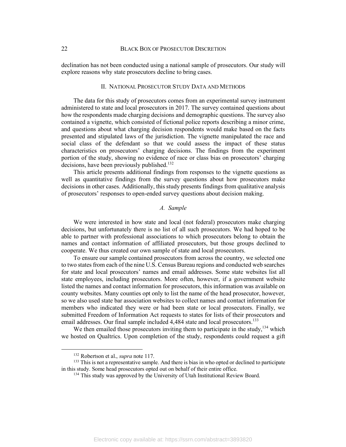declination has not been conducted using a national sample of prosecutors. Our study will explore reasons why state prosecutors decline to bring cases.

#### II. NATIONAL PROSECUTOR STUDY DATA AND METHODS

The data for this study of prosecutors comes from an experimental survey instrument administered to state and local prosecutors in 2017. The survey contained questions about how the respondents made charging decisions and demographic questions. The survey also contained a vignette, which consisted of fictional police reports describing a minor crime, and questions about what charging decision respondents would make based on the facts presented and stipulated laws of the jurisdiction. The vignette manipulated the race and social class of the defendant so that we could assess the impact of these status characteristics on prosecutors' charging decisions. The findings from the experiment portion of the study, showing no evidence of race or class bias on prosecutors' charging decisions, have been previously published.<sup>132</sup>

This article presents additional findings from responses to the vignette questions as well as quantitative findings from the survey questions about how prosecutors make decisions in other cases. Additionally, this study presents findings from qualitative analysis of prosecutors' responses to open-ended survey questions about decision making.

## *A. Sample*

We were interested in how state and local (not federal) prosecutors make charging decisions, but unfortunately there is no list of all such prosecutors. We had hoped to be able to partner with professional associations to which prosecutors belong to obtain the names and contact information of affiliated prosecutors, but those groups declined to cooperate. We thus created our own sample of state and local prosecutors.

To ensure our sample contained prosecutors from across the country, we selected one to two states from each of the nine U.S. Census Bureau regions and conducted web searches for state and local prosecutors' names and email addresses. Some state websites list all state employees, including prosecutors. More often, however, if a government website listed the names and contact information for prosecutors, this information was available on county websites. Many counties opt only to list the name of the head prosecutor, however, so we also used state bar association websites to collect names and contact information for members who indicated they were or had been state or local prosecutors. Finally, we submitted Freedom of Information Act requests to states for lists of their prosecutors and email addresses. Our final sample included 4,484 state and local prosecutors.<sup>133</sup>

We then emailed those prosecutors inviting them to participate in the study,  $134$  which we hosted on Qualtrics. Upon completion of the study, respondents could request a gift

 <sup>132</sup> Robertson et al., *supra* note 117.

<sup>&</sup>lt;sup>133</sup> This is not a representative sample. And there is bias in who opted or declined to participate in this study. Some head prosecutors opted out on behalf of their entire office.

<sup>&</sup>lt;sup>134</sup> This study was approved by the University of Utah Institutional Review Board.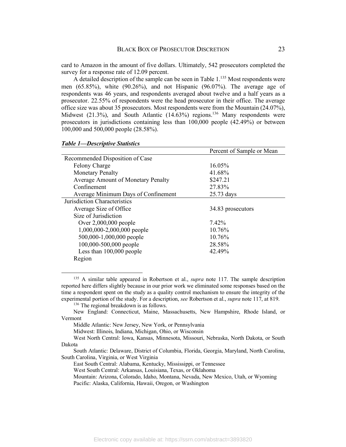card to Amazon in the amount of five dollars. Ultimately, 542 prosecutors completed the survey for a response rate of 12.09 percent.

A detailed description of the sample can be seen in Table  $1.^{135}$  Most respondents were men (65.85%), white (90.26%), and not Hispanic (96.07%). The average age of respondents was 46 years, and respondents averaged about twelve and a half years as a prosecutor. 22.55% of respondents were the head prosecutor in their office. The average office size was about 35 prosecutors. Most respondents were from the Mountain (24.07%), Midwest  $(21.3\%)$ , and South Atlantic  $(14.63\%)$  regions.<sup>136</sup> Many respondents were prosecutors in jurisdictions containing less than 100,000 people (42.49%) or between 100,000 and 500,000 people (28.58%).

|                                           | Percent of Sample or Mean |
|-------------------------------------------|---------------------------|
| Recommended Disposition of Case           |                           |
| <b>Felony Charge</b>                      | $16.05\%$                 |
| <b>Monetary Penalty</b>                   | 41.68%                    |
| <b>Average Amount of Monetary Penalty</b> | \$247.21                  |
| Confinement                               | 27.83%                    |
| Average Minimum Days of Confinement       | 25.73 days                |
| Jurisdiction Characteristics              |                           |
| Average Size of Office                    | 34.83 prosecutors         |
| Size of Jurisdiction                      |                           |
| Over $2,000,000$ people                   | 7.42%                     |
| 1,000,000-2,000,000 people                | 10.76%                    |
| 500,000-1,000,000 people                  | 10.76%                    |
| 100,000-500,000 people                    | 28.58%                    |
| Less than 100,000 people                  | 42.49%                    |
| Region                                    |                           |

#### *Table 1—Descriptive Statistics*

 135 A similar table appeared in Robertson et al., *supra* note 117. The sample description reported here differs slightly because in our prior work we eliminated some responses based on the time a respondent spent on the study as a quality control mechanism to ensure the integrity of the experimental portion of the study. For a description, *see* Robertson et al., *supra* note 117, at 819.

<sup>136</sup> The regional breakdown is as follows.

New England: Connecticut, Maine, Massachusetts, New Hampshire, Rhode Island, or Vermont

Middle Atlantic: New Jersey, New York, or Pennsylvania

Midwest: Illinois, Indiana, Michigan, Ohio, or Wisconsin

West North Central: Iowa, Kansas, Minnesota, Missouri, Nebraska, North Dakota, or South Dakota

South Atlantic: Delaware, District of Columbia, Florida, Georgia, Maryland, North Carolina, South Carolina, Virginia, or West Virginia

East South Central: Alabama, Kentucky, Mississippi, or Tennessee

West South Central: Arkansas, Louisiana, Texas, or Oklahoma

Mountain: Arizona, Colorado, Idaho, Montana, Nevada, New Mexico, Utah, or Wyoming Pacific: Alaska, California, Hawaii, Oregon, or Washington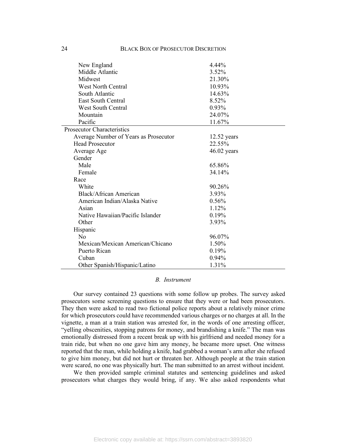| New England                           | 4.44%         |
|---------------------------------------|---------------|
| Middle Atlantic                       | 3.52%         |
| Midwest                               | 21.30%        |
| <b>West North Central</b>             | 10.93%        |
| South Atlantic                        | 14.63%        |
| <b>East South Central</b>             | 8.52%         |
| <b>West South Central</b>             | 0.93%         |
| Mountain                              | 24.07%        |
| Pacific                               | 11.67%        |
| <b>Prosecutor Characteristics</b>     |               |
| Average Number of Years as Prosecutor | 12.52 years   |
| <b>Head Prosecutor</b>                | 22.55%        |
| Average Age                           | $46.02$ years |
| Gender                                |               |
| Male                                  | 65.86%        |
| Female                                | 34.14%        |
| Race                                  |               |
| White                                 | 90.26%        |
| Black/African American                | 3.93%         |
| American Indian/Alaska Native         | 0.56%         |
| Asian                                 | 1.12%         |
| Native Hawaiian/Pacific Islander      | 0.19%         |
| Other                                 | 3.93%         |
| Hispanic                              |               |
| $\rm No$                              | 96.07%        |
| Mexican/Mexican American/Chicano      | 1.50%         |
| Puerto Rican                          | 0.19%         |
| Cuban                                 | 0.94%         |
| Other Spanish/Hispanic/Latino         | 1.31%         |

# *B. Instrument*

Our survey contained 23 questions with some follow up probes. The survey asked prosecutors some screening questions to ensure that they were or had been prosecutors. They then were asked to read two fictional police reports about a relatively minor crime for which prosecutors could have recommended various charges or no charges at all. In the vignette, a man at a train station was arrested for, in the words of one arresting officer, "yelling obscenities, stopping patrons for money, and brandishing a knife." The man was emotionally distressed from a recent break up with his girlfriend and needed money for a train ride, but when no one gave him any money, he became more upset. One witness reported that the man, while holding a knife, had grabbed a woman's arm after she refused to give him money, but did not hurt or threaten her. Although people at the train station were scared, no one was physically hurt. The man submitted to an arrest without incident.

We then provided sample criminal statutes and sentencing guidelines and asked prosecutors what charges they would bring, if any. We also asked respondents what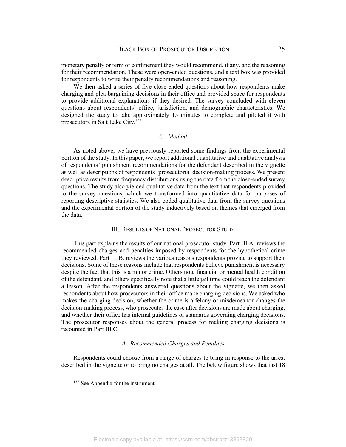monetary penalty or term of confinement they would recommend, if any, and the reasoning for their recommendation. These were open-ended questions, and a text box was provided for respondents to write their penalty recommendations and reasoning.

We then asked a series of five close-ended questions about how respondents make charging and plea-bargaining decisions in their office and provided space for respondents to provide additional explanations if they desired. The survey concluded with eleven questions about respondents' office, jurisdiction, and demographic characteristics. We designed the study to take approximately 15 minutes to complete and piloted it with prosecutors in Salt Lake City.<sup>137</sup>

# *C. Method*

As noted above, we have previously reported some findings from the experimental portion of the study. In this paper, we report additional quantitative and qualitative analysis of respondents' punishment recommendations for the defendant described in the vignette as well as descriptions of respondents' prosecutorial decision-making process. We present descriptive results from frequency distributions using the data from the close-ended survey questions. The study also yielded qualitative data from the text that respondents provided to the survey questions, which we transformed into quantitative data for purposes of reporting descriptive statistics. We also coded qualitative data from the survey questions and the experimental portion of the study inductively based on themes that emerged from the data.

### III. RESULTS OF NATIONAL PROSECUTOR STUDY

This part explains the results of our national prosecutor study. Part III.A. reviews the recommended charges and penalties imposed by respondents for the hypothetical crime they reviewed. Part III.B. reviews the various reasons respondents provide to support their decisions. Some of these reasons include that respondents believe punishment is necessary despite the fact that this is a minor crime. Others note financial or mental health condition of the defendant, and others specifically note that a little jail time could teach the defendant a lesson. After the respondents answered questions about the vignette, we then asked respondents about how prosecutors in their office make charging decisions. We asked who makes the charging decision, whether the crime is a felony or misdemeanor changes the decision-making process, who prosecutes the case after decisions are made about charging, and whether their office has internal guidelines or standards governing charging decisions. The prosecutor responses about the general process for making charging decisions is recounted in Part III.C.

## *A. Recommended Charges and Penalties*

Respondents could choose from a range of charges to bring in response to the arrest described in the vignette or to bring no charges at all. The below figure shows that just 18

<sup>&</sup>lt;sup>137</sup> See Appendix for the instrument.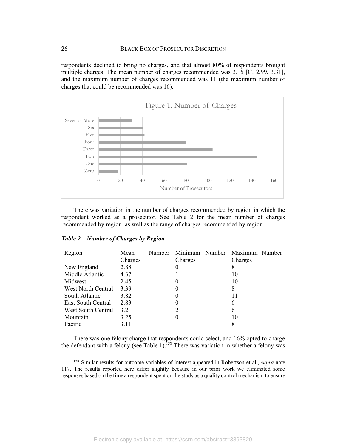respondents declined to bring no charges, and that almost 80% of respondents brought multiple charges. The mean number of charges recommended was 3.15 [CI 2.99, 3.31], and the maximum number of charges recommended was 11 (the maximum number of charges that could be recommended was 16).



There was variation in the number of charges recommended by region in which the respondent worked as a prosecutor. See Table 2 for the mean number of charges recommended by region, as well as the range of charges recommended by region.

## *Table 2—Number of Charges by Region*

| Mean    | Number |          |                |                |
|---------|--------|----------|----------------|----------------|
| Charges |        | Charges  | Charges        |                |
| 2.88    |        | $\theta$ | 8              |                |
| 4.37    |        |          | 10             |                |
| 2.45    |        | O        | 10             |                |
| 3.39    |        | 0        | 8              |                |
| 3.82    |        | 0        | 11             |                |
| 2.83    |        | 0        | 6              |                |
| 3.2     |        | 2        | 6              |                |
| 3.25    |        | 0        | 10             |                |
| 3.11    |        |          | 8              |                |
|         |        |          | Minimum Number | Maximum Number |

There was one felony charge that respondents could select, and 16% opted to charge the defendant with a felony (see Table 1).<sup>138</sup> There was variation in whether a felony was

 <sup>138</sup> Similar results for outcome variables of interest appeared in Robertson et al., *supra* note 117. The results reported here differ slightly because in our prior work we eliminated some responses based on the time a respondent spent on the study as a quality control mechanism to ensure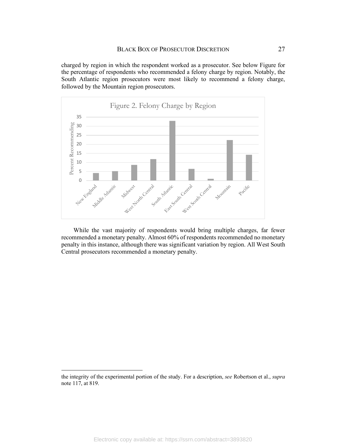charged by region in which the respondent worked as a prosecutor. See below Figure for the percentage of respondents who recommended a felony charge by region. Notably, the South Atlantic region prosecutors were most likely to recommend a felony charge, followed by the Mountain region prosecutors.



While the vast majority of respondents would bring multiple charges, far fewer recommended a monetary penalty. Almost 60% of respondents recommended no monetary penalty in this instance, although there was significant variation by region. All West South Central prosecutors recommended a monetary penalty.

 $\overline{a}$ 

the integrity of the experimental portion of the study. For a description, *see* Robertson et al., *supra*  note 117, at 819.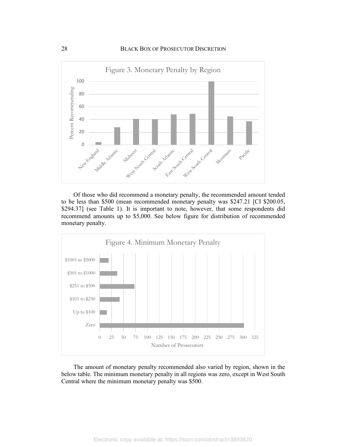

Of those who did recommend a monetary penalty, the recommended amount tended to be less than \$500 (mean recommended monetary penalty was \$247.21 [CI \$200.05, \$294.37] (see Table 1). It is important to note, however, that some respondents did recommend amounts up to \$5,000. See below figure for distribution of recommended monetary penalty.



The amount of monetary penalty recommended also varied by region, shown in the below table. The minimum monetary penalty in all regions was zero, except in West South Central where the minimum monetary penalty was \$500.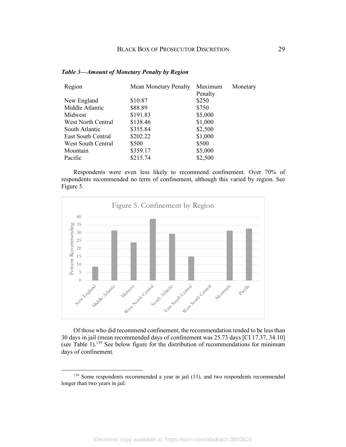| Region                    | <b>Mean Monetary Penalty</b> | Maximum | Monetary |
|---------------------------|------------------------------|---------|----------|
|                           |                              | Penalty |          |
| New England               | \$10.87                      | \$250   |          |
| Middle Atlantic           | \$88.89                      | \$750   |          |
| Midwest                   | \$191.83                     | \$5,000 |          |
| <b>West North Central</b> | \$138.46                     | \$1,000 |          |
| South Atlantic            | \$355.84                     | \$2,500 |          |
| <b>East South Central</b> | \$202.22                     | \$1,000 |          |
| West South Central        | \$500                        | \$500   |          |
| Mountain                  | \$359.17                     | \$5,000 |          |
| Pacific                   | \$215.74                     | \$2,500 |          |

#### *Table 3—Amount of Monetary Penalty by Region*

Respondents were even less likely to recommend confinement. Over 70% of respondents recommended no term of confinement, although this varied by region. See Figure 5.



Of those who did recommend confinement, the recommendation tended to be less than 30 days in jail (mean recommended days of confinement was 25.73 days [CI 17.37, 34.10] (see Table 1). <sup>139</sup> See below figure for the distribution of recommendations for minimum days of confinement.

<sup>139</sup> Some respondents recommended a year in jail (11), and two respondents recommended longer than two years in jail.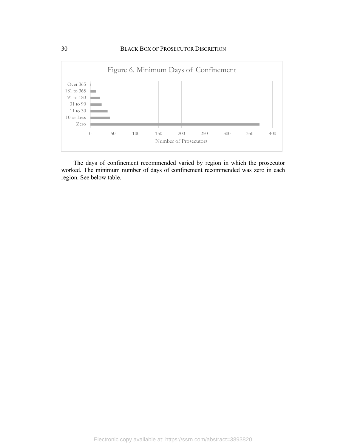

The days of confinement recommended varied by region in which the prosecutor worked. The minimum number of days of confinement recommended was zero in each region. See below table.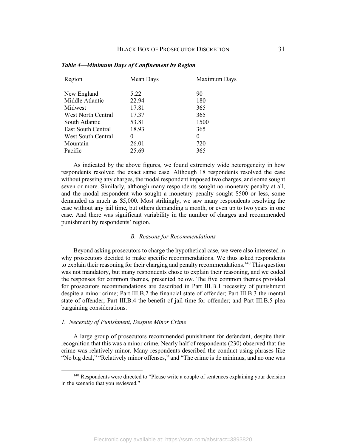| Mean Days | Maximum Days |
|-----------|--------------|
| 5.22      | 90           |
| 22.94     | 180          |
| 17.81     | 365          |
| 17.37     | 365          |
| 53.81     | 1500         |
| 18.93     | 365          |
| $\Omega$  | 0            |
| 26.01     | 720          |
| 25.69     | 365          |
|           |              |

#### *Table 4—Minimum Days of Confinement by Region*

As indicated by the above figures, we found extremely wide heterogeneity in how respondents resolved the exact same case. Although 18 respondents resolved the case without pressing any charges, the modal respondent imposed two charges, and some sought seven or more. Similarly, although many respondents sought no monetary penalty at all, and the modal respondent who sought a monetary penalty sought \$500 or less, some demanded as much as \$5,000. Most strikingly, we saw many respondents resolving the case without any jail time, but others demanding a month, or even up to two years in one case. And there was significant variability in the number of charges and recommended punishment by respondents' region.

# *B. Reasons for Recommendations*

Beyond asking prosecutors to charge the hypothetical case, we were also interested in why prosecutors decided to make specific recommendations. We thus asked respondents to explain their reasoning for their charging and penalty recommendations.<sup>140</sup> This question was not mandatory, but many respondents chose to explain their reasoning, and we coded the responses for common themes, presented below. The five common themes provided for prosecutors recommendations are described in Part III.B.1 necessity of punishment despite a minor crime; Part III.B.2 the financial state of offender; Part III.B.3 the mental state of offender; Part III.B.4 the benefit of jail time for offender; and Part III.B.5 plea bargaining considerations.

#### *1. Necessity of Punishment, Despite Minor Crime*

A large group of prosecutors recommended punishment for defendant, despite their recognition that this was a minor crime. Nearly half of respondents (230) observed that the crime was relatively minor. Many respondents described the conduct using phrases like "No big deal," "Relatively minor offenses," and "The crime is de minimus, and no one was

<sup>&</sup>lt;sup>140</sup> Respondents were directed to "Please write a couple of sentences explaining your decision in the scenario that you reviewed."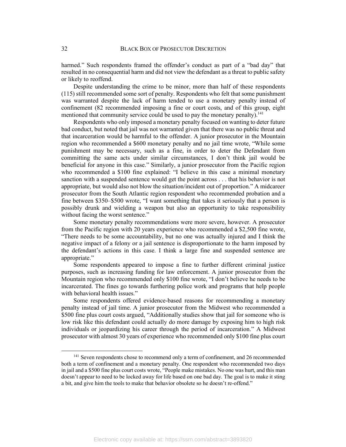harmed." Such respondents framed the offender's conduct as part of a "bad day" that resulted in no consequential harm and did not view the defendant as a threat to public safety or likely to reoffend.

Despite understanding the crime to be minor, more than half of these respondents (115) still recommended some sort of penalty. Respondents who felt that some punishment was warranted despite the lack of harm tended to use a monetary penalty instead of confinement (82 recommended imposing a fine or court costs, and of this group, eight mentioned that community service could be used to pay the monetary penalty).<sup>141</sup>

Respondents who only imposed a monetary penalty focused on wanting to deter future bad conduct, but noted that jail was not warranted given that there was no public threat and that incarceration would be harmful to the offender. A junior prosecutor in the Mountain region who recommended a \$600 monetary penalty and no jail time wrote, "While some punishment may be necessary, such as a fine, in order to deter the Defendant from committing the same acts under similar circumstances, I don't think jail would be beneficial for anyone in this case." Similarly, a junior prosecutor from the Pacific region who recommended a \$100 fine explained: "I believe in this case a minimal monetary sanction with a suspended sentence would get the point across . . . that his behavior is not appropriate, but would also not blow the situation/incident out of proportion." A midcareer prosecutor from the South Atlantic region respondent who recommended probation and a fine between \$350–\$500 wrote, "I want something that takes it seriously that a person is possibly drunk and wielding a weapon but also an opportunity to take responsibility without facing the worst sentence."

Some monetary penalty recommendations were more severe, however. A prosecutor from the Pacific region with 20 years experience who recommended a \$2,500 fine wrote, "There needs to be some accountability, but no one was actually injured and I think the negative impact of a felony or a jail sentence is disproportionate to the harm imposed by the defendant's actions in this case. I think a large fine and suspended sentence are appropriate."

Some respondents appeared to impose a fine to further different criminal justice purposes, such as increasing funding for law enforcement. A junior prosecutor from the Mountain region who recommended only \$100 fine wrote, "I don't believe he needs to be incarcerated. The fines go towards furthering police work and programs that help people with behavioral health issues."

Some respondents offered evidence-based reasons for recommending a monetary penalty instead of jail time. A junior prosecutor from the Midwest who recommended a \$500 fine plus court costs argued, "Additionally studies show that jail for someone who is low risk like this defendant could actually do more damage by exposing him to high risk individuals or jeopardizing his career through the period of incarceration." A Midwest prosecutor with almost 30 years of experience who recommended only \$100 fine plus court

<sup>&</sup>lt;sup>141</sup> Seven respondents chose to recommend only a term of confinement, and 26 recommended both a term of confinement and a monetary penalty. One respondent who recommended two days in jail and a \$500 fine plus court costs wrote, "People make mistakes. No one was hurt, and this man doesn't appear to need to be locked away for life based on one bad day. The goal is to make it sting a bit, and give him the tools to make that behavior obsolete so he doesn't re-offend."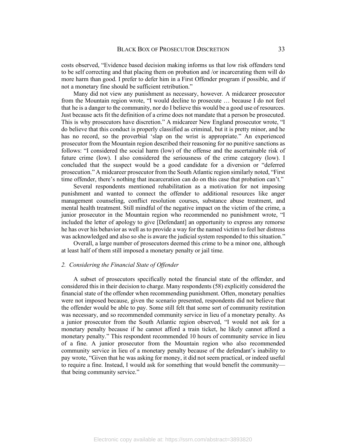costs observed, "Evidence based decision making informs us that low risk offenders tend to be self correcting and that placing them on probation and /or incarcerating them will do more harm than good. I prefer to defer him in a First Offender program if possible, and if not a monetary fine should be sufficient retribution."

Many did not view any punishment as necessary, however. A midcareer prosecutor from the Mountain region wrote, "I would decline to prosecute … because I do not feel that he is a danger to the community, nor do I believe this would be a good use of resources. Just because acts fit the definition of a crime does not mandate that a person be prosecuted. This is why prosecutors have discretion." A midcareer New England prosecutor wrote, "I do believe that this conduct is properly classified as criminal, but it is pretty minor, and he has no record, so the proverbial 'slap on the wrist is appropriate." An experienced prosecutor from the Mountain region described their reasoning for no punitive sanctions as follows: "I considered the social harm (low) of the offense and the ascertainable risk of future crime (low). I also considered the seriousness of the crime category (low). I concluded that the suspect would be a good candidate for a diversion or "deferred prosecution." A midcareer prosecutor from the South Atlantic region similarly noted, "First time offender, there's nothing that incarceration can do on this case that probation can't."

Several respondents mentioned rehabilitation as a motivation for not imposing punishment and wanted to connect the offender to additional resources like anger management counseling, conflict resolution courses, substance abuse treatment, and mental health treatment. Still mindful of the negative impact on the victim of the crime, a junior prosecutor in the Mountain region who recommended no punishment wrote, "I included the letter of apology to give [Defendant] an opportunity to express any remorse he has over his behavior as well as to provide a way for the named victim to feel her distress was acknowledged and also so she is aware the judicial system responded to this situation."

Overall, a large number of prosecutors deemed this crime to be a minor one, although at least half of them still imposed a monetary penalty or jail time.

#### *2. Considering the Financial State of Offender*

A subset of prosecutors specifically noted the financial state of the offender, and considered this in their decision to charge. Many respondents (58) explicitly considered the financial state of the offender when recommending punishment. Often, monetary penalties were not imposed because, given the scenario presented, respondents did not believe that the offender would be able to pay. Some still felt that some sort of community restitution was necessary, and so recommended community service in lieu of a monetary penalty. As a junior prosecutor from the South Atlantic region observed, "I would not ask for a monetary penalty because if he cannot afford a train ticket, he likely cannot afford a monetary penalty." This respondent recommended 10 hours of community service in lieu of a fine. A junior prosecutor from the Mountain region who also recommended community service in lieu of a monetary penalty because of the defendant's inability to pay wrote, "Given that he was asking for money, it did not seem practical, or indeed useful to require a fine. Instead, I would ask for something that would benefit the community that being community service."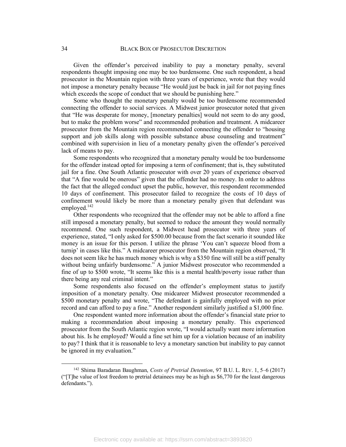Given the offender's perceived inability to pay a monetary penalty, several respondents thought imposing one may be too burdensome. One such respondent, a head prosecutor in the Mountain region with three years of experience, wrote that they would not impose a monetary penalty because "He would just be back in jail for not paying fines which exceeds the scope of conduct that we should be punishing here."

Some who thought the monetary penalty would be too burdensome recommended connecting the offender to social services. A Midwest junior prosecutor noted that given that "He was desperate for money, [monetary penalties] would not seem to do any good, but to make the problem worse" and recommended probation and treatment. A midcareer prosecutor from the Mountain region recommended connecting the offender to "housing support and job skills along with possible substance abuse counseling and treatment" combined with supervision in lieu of a monetary penalty given the offender's perceived lack of means to pay.

Some respondents who recognized that a monetary penalty would be too burdensome for the offender instead opted for imposing a term of confinement; that is, they substituted jail for a fine. One South Atlantic prosecutor with over 20 years of experience observed that "A fine would be onerous" given that the offender had no money. In order to address the fact that the alleged conduct upset the public, however, this respondent recommended 10 days of confinement. This prosecutor failed to recognize the costs of 10 days of confinement would likely be more than a monetary penalty given that defendant was employed. 142

Other respondents who recognized that the offender may not be able to afford a fine still imposed a monetary penalty, but seemed to reduce the amount they would normally recommend. One such respondent, a Midwest head prosecutor with three years of experience, stated, "I only asked for \$500.00 because from the fact scenario it sounded like money is an issue for this person. I utilize the phrase 'You can't squeeze blood from a turnip' in cases like this." A midcareer prosecutor from the Mountain region observed, "It does not seem like he has much money which is why a \$350 fine will still be a stiff penalty without being unfairly burdensome." A junior Midwest prosecutor who recommended a fine of up to \$500 wrote, "It seems like this is a mental health/poverty issue rather than there being any real criminal intent."

Some respondents also focused on the offender's employment status to justify imposition of a monetary penalty. One midcareer Midwest prosecutor recommended a \$500 monetary penalty and wrote, "The defendant is gainfully employed with no prior record and can afford to pay a fine." Another respondent similarly justified a \$1,000 fine.

One respondent wanted more information about the offender's financial state prior to making a recommendation about imposing a monetary penalty. This experienced prosecutor from the South Atlantic region wrote, "I would actually want more information about his. Is he employed? Would a fine set him up for a violation because of an inability to pay? I think that it is reasonable to levy a monetary sanction but inability to pay cannot be ignored in my evaluation."

 <sup>142</sup> Shima Baradaran Baughman, *Costs of Pretrial Detention*, 97 B.U. L. REV. 1, 5–6 (2017) ("[T]he value of lost freedom to pretrial detainees may be as high as \$6,770 for the least dangerous defendants.").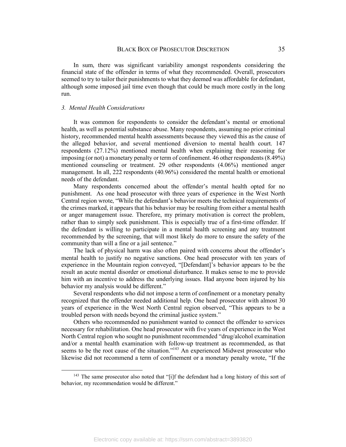In sum, there was significant variability amongst respondents considering the financial state of the offender in terms of what they recommended. Overall, prosecutors seemed to try to tailor their punishments to what they deemed was affordable for defendant, although some imposed jail time even though that could be much more costly in the long run.

### *3. Mental Health Considerations*

It was common for respondents to consider the defendant's mental or emotional health, as well as potential substance abuse. Many respondents, assuming no prior criminal history, recommended mental health assessments because they viewed this as the cause of the alleged behavior, and several mentioned diversion to mental health court. 147 respondents (27.12%) mentioned mental health when explaining their reasoning for imposing (or not) a monetary penalty or term of confinement. 46 other respondents (8.49%) mentioned counseling or treatment. 29 other respondents (4.06%) mentioned anger management. In all, 222 respondents (40.96%) considered the mental health or emotional needs of the defendant.

Many respondents concerned about the offender's mental health opted for no punishment. As one head prosecutor with three years of experience in the West North Central region wrote, "While the defendant's behavior meets the technical requirements of the crimes marked, it appears that his behavior may be resulting from either a mental health or anger management issue. Therefore, my primary motivation is correct the problem, rather than to simply seek punishment. This is especially true of a first-time offender. If the defendant is willing to participate in a mental health screening and any treatment recommended by the screening, that will most likely do more to ensure the safety of the community than will a fine or a jail sentence."

The lack of physical harm was also often paired with concerns about the offender's mental health to justify no negative sanctions. One head prosecutor with ten years of experience in the Mountain region conveyed, "[Defendant]'s behavior appears to be the result an acute mental disorder or emotional disturbance. It makes sense to me to provide him with an incentive to address the underlying issues. Had anyone been injured by his behavior my analysis would be different."

Several respondents who did not impose a term of confinement or a monetary penalty recognized that the offender needed additional help. One head prosecutor with almost 30 years of experience in the West North Central region observed, "This appears to be a troubled person with needs beyond the criminal justice system."

Others who recommended no punishment wanted to connect the offender to services necessary for rehabilitation. One head prosecutor with five years of experience in the West North Central region who sought no punishment recommended "drug/alcohol examination and/or a mental health examination with follow-up treatment as recommended, as that seems to be the root cause of the situation."<sup>143</sup> An experienced Midwest prosecutor who likewise did not recommend a term of confinement or a monetary penalty wrote, "If the

<sup>&</sup>lt;sup>143</sup> The same prosecutor also noted that "[i]f the defendant had a long history of this sort of behavior, my recommendation would be different."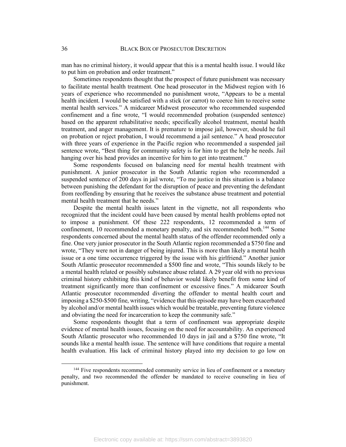man has no criminal history, it would appear that this is a mental health issue. I would like to put him on probation and order treatment."

Sometimes respondents thought that the prospect of future punishment was necessary to facilitate mental health treatment. One head prosecutor in the Midwest region with 16 years of experience who recommended no punishment wrote, "Appears to be a mental health incident. I would be satisfied with a stick (or carrot) to coerce him to receive some mental health services." A midcareer Midwest prosecutor who recommended suspended confinement and a fine wrote, "I would recommended probation (suspended sentence) based on the apparent rehabilitative needs; specifically alcohol treatment, mental health treatment, and anger management. It is premature to impose jail, however, should he fail on probation or reject probation, I would recommend a jail sentence." A head prosecutor with three years of experience in the Pacific region who recommended a suspended jail sentence wrote, "Best thing for community safety is for him to get the help he needs. Jail hanging over his head provides an incentive for him to get into treatment."

Some respondents focused on balancing need for mental health treatment with punishment. A junior prosecutor in the South Atlantic region who recommended a suspended sentence of 200 days in jail wrote, "To me justice in this situation is a balance between punishing the defendant for the disruption of peace and preventing the defendant from reoffending by ensuring that he receives the substance abuse treatment and potential mental health treatment that he needs."

Despite the mental health issues latent in the vignette, not all respondents who recognized that the incident could have been caused by mental health problems opted not to impose a punishment. Of these 222 respondents, 12 recommended a term of confinement, 10 recommended a monetary penalty, and six recommended both.144 Some respondents concerned about the mental health status of the offender recommended only a fine. One very junior prosecutor in the South Atlantic region recommended a \$750 fine and wrote, "They were not in danger of being injured. This is more than likely a mental health issue or a one time occurrence triggered by the issue with his girlfriend." Another junior South Atlantic prosecutor recommended a \$500 fine and wrote, "This sounds likely to be a mental health related or possibly substance abuse related. A 29 year old with no previous criminal history exhibiting this kind of behavior would likely benefit from some kind of treatment significantly more than confinement or excessive fines." A midcareer South Atlantic prosecutor recommended diverting the offender to mental health court and imposing a \$250-\$500 fine, writing, "evidence that this episode may have been exacerbated by alcohol and/or mental health issues which would be treatable, preventing future violence and obviating the need for incarceration to keep the community safe."

Some respondents thought that a term of confinement was appropriate despite evidence of mental health issues, focusing on the need for accountability. An experienced South Atlantic prosecutor who recommended 10 days in jail and a \$750 fine wrote, "It sounds like a mental health issue. The sentence will have conditions that require a mental health evaluation. His lack of criminal history played into my decision to go low on

<sup>&</sup>lt;sup>144</sup> Five respondents recommended community service in lieu of confinement or a monetary penalty, and two recommended the offender be mandated to receive counseling in lieu of punishment.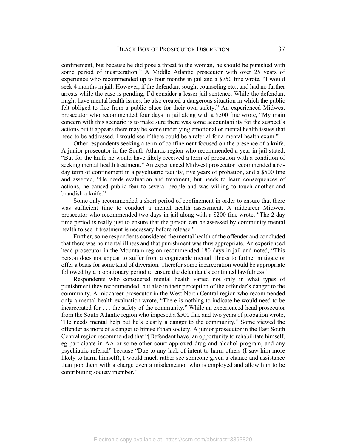confinement, but because he did pose a threat to the woman, he should be punished with some period of incarceration." A Middle Atlantic prosecutor with over 25 years of experience who recommended up to four months in jail and a \$750 fine wrote, "I would seek 4 months in jail. However, if the defendant sought counseling etc., and had no further arrests while the case is pending, I'd consider a lesser jail sentence. While the defendant might have mental health issues, he also created a dangerous situation in which the public felt obliged to flee from a public place for their own safety." An experienced Midwest prosecutor who recommended four days in jail along with a \$500 fine wrote, "My main concern with this scenario is to make sure there was some accountability for the suspect's actions but it appears there may be some underlying emotional or mental health issues that need to be addressed. I would see if there could be a referral for a mental health exam."

Other respondents seeking a term of confinement focused on the presence of a knife. A junior prosecutor in the South Atlantic region who recommended a year in jail stated, "But for the knife he would have likely received a term of probation with a condition of seeking mental health treatment." An experienced Midwest prosecutor recommended a 65 day term of confinement in a psychiatric facility, five years of probation, and a \$500 fine and asserted, "He needs evaluation and treatment, but needs to learn consequences of actions, he caused public fear to several people and was willing to touch another and brandish a knife."

Some only recommended a short period of confinement in order to ensure that there was sufficient time to conduct a mental health assessment. A midcareer Midwest prosecutor who recommended two days in jail along with a \$200 fine wrote, "The 2 day time period is really just to ensure that the person can be assessed by community mental health to see if treatment is necessary before release."

Further, some respondents considered the mental health of the offender and concluded that there was no mental illness and that punishment was thus appropriate. An experienced head prosecutor in the Mountain region recommended 180 days in jail and noted, "This person does not appear to suffer from a cognizable mental illness to further mitigate or offer a basis for some kind of diversion. Therefor some incarceration would be appropriate followed by a probationary period to ensure the defendant's continued lawfulness."

Respondents who considered mental health varied not only in what types of punishment they recommended, but also in their perception of the offender's danger to the community. A midcareer prosecutor in the West North Central region who recommended only a mental health evaluation wrote, "There is nothing to indicate he would need to be incarcerated for . . . the safety of the community." While an experienced head prosecutor from the South Atlantic region who imposed a \$500 fine and two years of probation wrote, "He needs mental help but he's clearly a danger to the community." Some viewed the offender as more of a danger to himself than society. A junior prosecutor in the East South Central region recommended that "[Defendant have] an opportunity to rehabilitate himself, eg participate in AA or some other court approved drug and alcohol program, and any psychiatric referral" because "Due to any lack of intent to harm others (I saw him more likely to harm himself), I would much rather see someone given a chance and assistance than pop them with a charge even a misdemeanor who is employed and allow him to be contributing society member."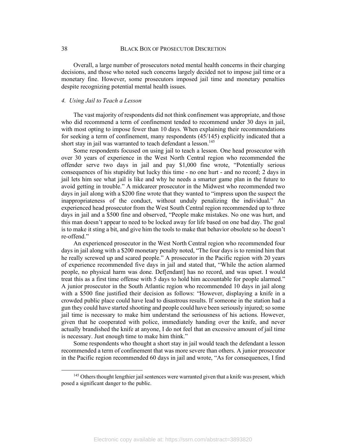Overall, a large number of prosecutors noted mental health concerns in their charging decisions, and those who noted such concerns largely decided not to impose jail time or a monetary fine. However, some prosecutors imposed jail time and monetary penalties despite recognizing potential mental health issues.

#### *4. Using Jail to Teach a Lesson*

The vast majority of respondents did not think confinement was appropriate, and those who did recommend a term of confinement tended to recommend under 30 days in jail, with most opting to impose fewer than 10 days. When explaining their recommendations for seeking a term of confinement, many respondents (45/145) explicitly indicated that a short stay in jail was warranted to teach defendant a lesson. 145

Some respondents focused on using jail to teach a lesson. One head prosecutor with over 30 years of experience in the West North Central region who recommended the offender serve two days in jail and pay \$1,000 fine wrote, "Potentially serious consequences of his stupidity but lucky this time - no one hurt - and no record; 2 days in jail lets him see what jail is like and why he needs a smarter game plan in the future to avoid getting in trouble." A midcareer prosecutor in the Midwest who recommended two days in jail along with a \$200 fine wrote that they wanted to "impress upon the suspect the inappropriateness of the conduct, without unduly penalizing the individual." An experienced head prosecutor from the West South Central region recommended up to three days in jail and a \$500 fine and observed, "People make mistakes. No one was hurt, and this man doesn't appear to need to be locked away for life based on one bad day. The goal is to make it sting a bit, and give him the tools to make that behavior obsolete so he doesn't re-offend."

An experienced prosecutor in the West North Central region who recommended four days in jail along with a \$200 monetary penalty noted, "The four days is to remind him that he really screwed up and scared people." A prosecutor in the Pacific region with 20 years of experience recommended five days in jail and stated that, "While the action alarmed people, no physical harm was done. Def[endant] has no record, and was upset. I would treat this as a first time offense with 5 days to hold him accountable for people alarmed." A junior prosecutor in the South Atlantic region who recommended 10 days in jail along with a \$500 fine justified their decision as follows: "However, displaying a knife in a crowded public place could have lead to disastrous results. If someone in the station had a gun they could have started shooting and people could have been seriously injured; so some jail time is necessary to make him understand the seriousness of his actions. However, given that he cooperated with police, immediately handing over the knife, and never actually brandished the knife at anyone, I do not feel that an excessive amount of jail time is necessary. Just enough time to make him think."

Some respondents who thought a short stay in jail would teach the defendant a lesson recommended a term of confinement that was more severe than others. A junior prosecutor in the Pacific region recommended 60 days in jail and wrote, "As for consequences, I find

<sup>&</sup>lt;sup>145</sup> Others thought lengthier jail sentences were warranted given that a knife was present, which posed a significant danger to the public.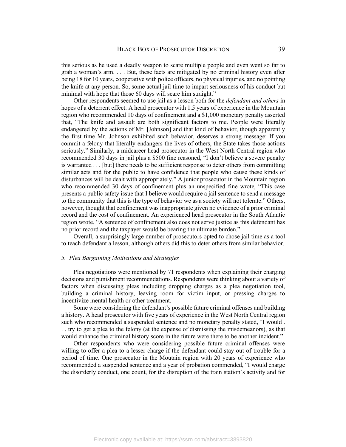this serious as he used a deadly weapon to scare multiple people and even went so far to grab a woman's arm. . . . But, these facts are mitigated by no criminal history even after being 18 for 10 years, cooperative with police officers, no physical injuries, and no pointing the knife at any person. So, some actual jail time to impart seriousness of his conduct but minimal with hope that those 60 days will scare him straight."

Other respondents seemed to use jail as a lesson both for the *defendant and others* in hopes of a deterrent effect. A head prosecutor with 1.5 years of experience in the Mountain region who recommended 10 days of confinement and a \$1,000 monetary penalty asserted that, "The knife and assault are both significant factors to me. People were literally endangered by the actions of Mr. [Johnson] and that kind of behavior, though apparently the first time Mr. Johnson exhibited such behavior, deserves a strong message: If you commit a felony that literally endangers the lives of others, the State takes those actions seriously." Similarly, a midcareer head prosecutor in the West North Central region who recommended 30 days in jail plus a \$500 fine reasoned, "I don't believe a severe penalty is warranted . . . [but] there needs to be sufficient response to deter others from committing similar acts and for the public to have confidence that people who cause these kinds of disturbances will be dealt with appropriately." A junior prosecutor in the Mountain region who recommended 30 days of confinement plus an unspecified fine wrote, "This case presents a public safety issue that I believe would require a jail sentence to send a message to the community that this is the type of behavior we as a society will not tolerate." Others, however, thought that confinement was inappropriate given no evidence of a prior criminal record and the cost of confinement. An experienced head prosecutor in the South Atlantic region wrote, "A sentence of confinement also does not serve justice as this defendant has no prior record and the taxpayer would be bearing the ultimate burden."

Overall, a surprisingly large number of prosecutors opted to chose jail time as a tool to teach defendant a lesson, although others did this to deter others from similar behavior.

## *5. Plea Bargaining Motivations and Strategies*

Plea negotiations were mentioned by 71 respondents when explaining their charging decisions and punishment recommendations. Respondents were thinking about a variety of factors when discussing pleas including dropping charges as a plea negotiation tool, building a criminal history, leaving room for victim input, or pressing charges to incentivize mental health or other treatment.

Some were considering the defendant's possible future criminal offenses and building a history. A head prosecutor with five years of experience in the West North Central region such who recommended a suspended sentence and no monetary penalty stated, "I would . . . try to get a plea to the felony (at the expense of dismissing the misdemeanors), as that would enhance the criminal history score in the future were there to be another incident."

Other respondents who were considering possible future criminal offenses were willing to offer a plea to a lesser charge if the defendant could stay out of trouble for a period of time. One prosecutor in the Moutain region with 20 years of experience who recommended a suspended sentence and a year of probation commended, "I would charge the disorderly conduct, one count, for the disruption of the train station's activity and for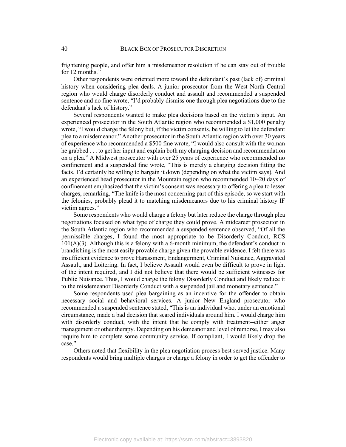frightening people, and offer him a misdemeanor resolution if he can stay out of trouble for 12 months."

Other respondents were oriented more toward the defendant's past (lack of) criminal history when considering plea deals. A junior prosecutor from the West North Central region who would charge disorderly conduct and assault and recommended a suspended sentence and no fine wrote, "I'd probably dismiss one through plea negotiations due to the defendant's lack of history."

Several respondents wanted to make plea decisions based on the victim's input. An experienced prosecutor in the South Atlantic region who recommended a \$1,000 penalty wrote, "I would charge the felony but, if the victim consents, be willing to let the defendant plea to a misdemeanor." Another prosecutor in the South Atlantic region with over 30 years of experience who recommended a \$500 fine wrote, "I would also consult with the woman he grabbed . . . to get her input and explain both my charging decision and recommendation on a plea." A Midwest prosecutor with over 25 years of experience who recommended no confinement and a suspended fine wrote, "This is merely a charging decision fitting the facts. I'd certainly be willing to bargain it down (depending on what the victim says). And an experienced head prosecutor in the Mountain region who recommended 10–20 days of confinement emphasized that the victim's consent was necessary to offering a plea to lesser charges, remarking, "The knife is the most concerning part of this episode, so we start with the felonies, probably plead it to matching misdemeanors due to his criminal history IF victim agrees."

Some respondents who would charge a felony but later reduce the charge through plea negotiations focused on what type of charge they could prove. A midcareer prosecutor in the South Atlantic region who recommended a suspended sentence observed, "Of all the permissible charges, I found the most appropriate to be Disorderly Conduct, RCS 101(A)(3). Although this is a felony with a 6-month minimum, the defendant's conduct in brandishing is the most easily provable charge given the provable evidence. I felt there was insufficient evidence to prove Harassment, Endangerment, Criminal Nuisance, Aggravated Assault, and Loitering. In fact, I believe Assault would even be difficult to prove in light of the intent required, and I did not believe that there would be sufficient witnesses for Public Nuisance. Thus, I would charge the felony Disorderly Conduct and likely reduce it to the misdemeanor Disorderly Conduct with a suspended jail and monetary sentence."

Some respondents used plea bargaining as an incentive for the offender to obtain necessary social and behavioral services. A junior New England prosecutor who recommended a suspended sentence stated, "This is an individual who, under an emotional circumstance, made a bad decision that scared individuals around him. I would charge him with disorderly conduct, with the intent that he comply with treatment--either anger management or other therapy. Depending on his demeanor and level of remorse, I may also require him to complete some community service. If compliant, I would likely drop the case."

Others noted that flexibility in the plea negotiation process best served justice. Many respondents would bring multiple charges or charge a felony in order to get the offender to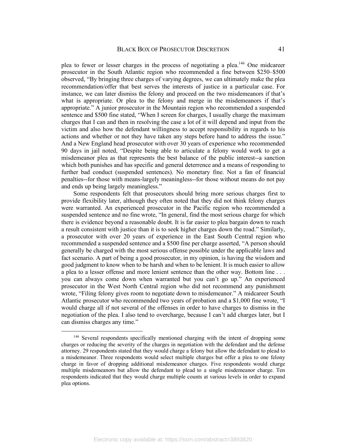plea to fewer or lesser charges in the process of negotiating a plea.146 One midcareer prosecutor in the South Atlantic region who recommended a fine between \$250–\$500 observed, "By bringing three charges of varying degrees, we can ultimately make the plea recommendation/offer that best serves the interests of justice in a particular case. For instance, we can later dismiss the felony and proceed on the two misdemeanors if that's what is appropriate. Or plea to the felony and merge in the misdemeanors if that's appropriate." A junior prosecutor in the Mountain region who recommended a suspended sentence and \$500 fine stated, "When I screen for charges, I usually charge the maximum charges that I can and then in resolving the case a lot of it will depend and input from the victim and also how the defendant willingness to accept responsibility in regards to his actions and whether or not they have taken any steps before hand to address the issue." And a New England head prosecutor with over 30 years of experience who recommended 90 days in jail noted, "Despite being able to articulate a felony would work to get a misdemeanor plea as that represents the best balance of the public interest--a sanction which both punishes and has specific and general deterrence and a means of responding to further bad conduct (suspended sentences). No monetary fine. Not a fan of financial penalties--for those with means-largely meaningless--for those without means do not pay and ends up being largely meaningless."

Some respondents felt that prosecutors should bring more serious charges first to provide flexibility later, although they often noted that they did not think felony charges were warranted. An experienced prosecutor in the Pacific region who recommended a suspended sentence and no fine wrote, "In general, find the most serious charge for which there is evidence beyond a reasonable doubt. It is far easier to plea bargain down to reach a result consistent with justice than it is to seek higher charges down the road." Similarly, a prosecutor with over 20 years of experience in the East South Central region who recommended a suspended sentence and a \$500 fine per charge asserted, "A person should generally be charged with the most serious offense possible under the applicable laws and fact scenario. A part of being a good prosecutor, in my opinion, is having the wisdom and good judgment to know when to be harsh and when to be lenient. It is much easier to allow a plea to a lesser offense and more lenient sentence than the other way. Bottom line . . . you can always come down when warranted but you can't go up." An experienced prosecutor in the West North Central region who did not recommend any punishment wrote, "Filing felony gives room to negotiate down to misdemeanor." A midcareer South Atlantic prosecutor who recommended two years of probation and a \$1,000 fine wrote, "I would charge all if not several of the offenses in order to have charges to dismiss in the negotiation of the plea. I also tend to overcharge, because I can't add charges later, but I can dismiss charges any time."

 <sup>146</sup> Several respondents specifically mentioned charging with the intent of dropping some charges or reducing the severity of the charges in negotiation with the defendant and the defense attorney. 29 respondents stated that they would charge a felony but allow the defendant to plead to a misdemeanor. Three respondents would select multiple charges but offer a plea to one felony charge in favor of dropping additional misdemeanor charges. Five respondents would charge multiple misdemeanors but allow the defendant to plead to a single misdemeanor charge. Ten respondents indicated that they would charge multiple counts at various levels in order to expand plea options.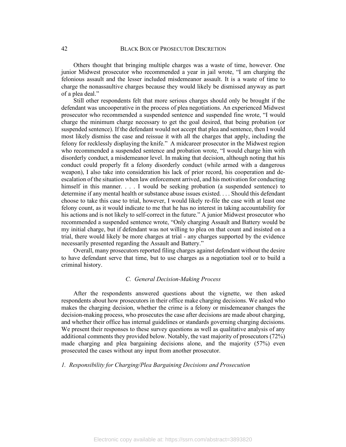Others thought that bringing multiple charges was a waste of time, however. One junior Midwest prosecutor who recommended a year in jail wrote, "I am charging the felonious assault and the lesser included misdemeanor assault. It is a waste of time to charge the nonassaultive charges because they would likely be dismissed anyway as part of a plea deal."

Still other respondents felt that more serious charges should only be brought if the defendant was uncooperative in the process of plea negotiations. An experienced Midwest prosecutor who recommended a suspended sentence and suspended fine wrote, "I would charge the minimum charge necessary to get the goal desired, that being probation (or suspended sentence). If the defendant would not accept that plea and sentence, then I would most likely dismiss the case and reissue it with all the charges that apply, including the felony for recklessly displaying the knife." A midcareer prosecutor in the Midwest region who recommended a suspended sentence and probation wrote, "I would charge him with disorderly conduct, a misdemeanor level. In making that decision, although noting that his conduct could properly fit a felony disorderly conduct (while armed with a dangerous weapon), I also take into consideration his lack of prior record, his cooperation and deescalation of the situation when law enforcement arrived, and his motivation for conducting himself in this manner. . . . I would be seeking probation (a suspended sentence) to determine if any mental health or substance abuse issues existed. . . . Should this defendant choose to take this case to trial, however, I would likely re-file the case with at least one felony count, as it would indicate to me that he has no interest in taking accountability for his actions and is not likely to self-correct in the future." A junior Midwest prosecutor who recommended a suspended sentence wrote, "Only charging Assault and Battery would be my initial charge, but if defendant was not willing to plea on that count and insisted on a trial, there would likely be more charges at trial - any charges supported by the evidence necessarily presented regarding the Assault and Battery."

Overall, many prosecutors reported filing charges against defendant without the desire to have defendant serve that time, but to use charges as a negotiation tool or to build a criminal history.

## *C. General Decision-Making Process*

After the respondents answered questions about the vignette, we then asked respondents about how prosecutors in their office make charging decisions. We asked who makes the charging decision, whether the crime is a felony or misdemeanor changes the decision-making process, who prosecutes the case after decisions are made about charging, and whether their office has internal guidelines or standards governing charging decisions. We present their responses to these survey questions as well as qualitative analysis of any additional comments they provided below. Notably, the vast majority of prosecutors (72%) made charging and plea bargaining decisions alone, and the majority (57%) even prosecuted the cases without any input from another prosecutor.

#### *1. Responsibility for Charging/Plea Bargaining Decisions and Prosecution*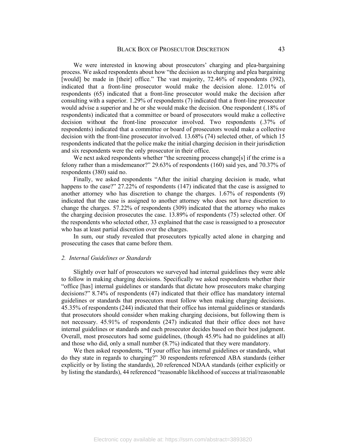We were interested in knowing about prosecutors' charging and plea-bargaining process. We asked respondents about how "the decision as to charging and plea bargaining [would] be made in [their] office." The vast majority, 72.46% of respondents (392), indicated that a front-line prosecutor would make the decision alone. 12.01% of respondents (65) indicated that a front-line prosecutor would make the decision after consulting with a superior. 1.29% of respondents (7) indicated that a front-line prosecutor would advise a superior and he or she would make the decision. One respondent (.18% of respondents) indicated that a committee or board of prosecutors would make a collective decision without the front-line prosecutor involved. Two respondents (.37% of respondents) indicated that a committee or board of prosecutors would make a collective decision with the front-line prosecutor involved. 13.68% (74) selected other, of which 15 respondents indicated that the police make the initial charging decision in their jurisdiction and six respondents were the only prosecutor in their office.

We next asked respondents whether "the screening process change[s] if the crime is a felony rather than a misdemeanor?" 29.63% of respondents (160) said yes, and 70.37% of respondents (380) said no.

Finally, we asked respondents "After the initial charging decision is made, what happens to the case?" 27.22% of respondents (147) indicated that the case is assigned to another attorney who has discretion to change the charges. 1.67% of respondents (9) indicated that the case is assigned to another attorney who does not have discretion to change the charges. 57.22% of respondents (309) indicated that the attorney who makes the charging decision prosecutes the case. 13.89% of respondents (75) selected other. Of the respondents who selected other, 33 explained that the case is reassigned to a prosecutor who has at least partial discretion over the charges.

In sum, our study revealed that prosecutors typically acted alone in charging and prosecuting the cases that came before them.

#### *2. Internal Guidelines or Standards*

Slightly over half of prosecutors we surveyed had internal guidelines they were able to follow in making charging decisions. Specifically we asked respondents whether their "office [has] internal guidelines or standards that dictate how prosecutors make charging decisions?" 8.74% of respondents (47) indicated that their office has mandatory internal guidelines or standards that prosecutors must follow when making charging decisions. 45.35% of respondents (244) indicated that their office has internal guidelines or standards that prosecutors should consider when making charging decisions, but following them is not necessary. 45.91% of respondents (247) indicated that their office does not have internal guidelines or standards and each prosecutor decides based on their best judgment. Overall, most prosecutors had some guidelines, (though 45.9% had no guidelines at all) and those who did, only a small number (8.7%) indicated that they were mandatory.

We then asked respondents, "If your office has internal guidelines or standards, what do they state in regards to charging?" 30 respondents referenced ABA standards (either explicitly or by listing the standards), 20 referenced NDAA standards (either explicitly or by listing the standards), 44 referenced "reasonable likelihood of success at trial/reasonable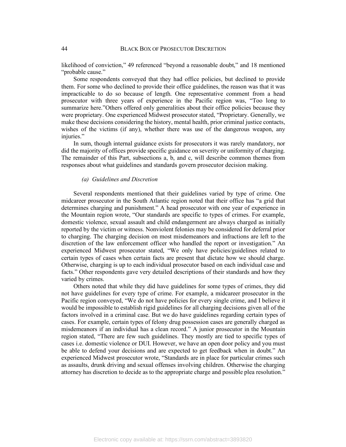likelihood of conviction," 49 referenced "beyond a reasonable doubt," and 18 mentioned "probable cause."

Some respondents conveyed that they had office policies, but declined to provide them. For some who declined to provide their office guidelines, the reason was that it was impracticable to do so because of length. One representative comment from a head prosecutor with three years of experience in the Pacific region was, "Too long to summarize here."Others offered only generalities about their office policies because they were proprietary. One experienced Midwest prosecutor stated, "Proprietary. Generally, we make these decisions considering the history, mental health, prior criminal justice contacts, wishes of the victims (if any), whether there was use of the dangerous weapon, any injuries."

In sum, though internal guidance exists for prosecutors it was rarely mandatory, nor did the majority of offices provide specific guidance on severity or uniformity of charging. The remainder of this Part, subsections a, b, and c, will describe common themes from responses about what guidelines and standards govern prosecutor decision making.

#### *(a) Guidelines and Discretion*

Several respondents mentioned that their guidelines varied by type of crime. One midcareer prosecutor in the South Atlantic region noted that their office has "a grid that determines charging and punishment." A head prosecutor with one year of experience in the Mountain region wrote, "Our standards are specific to types of crimes. For example, domestic violence, sexual assault and child endangerment are always charged as initially reported by the victim or witness. Nonviolent felonies may be considered for deferral prior to charging. The charging decision on most misdemeanors and infractions are left to the discretion of the law enforcement officer who handled the report or investigation." An experienced Midwest prosecutor stated, "We only have policies/guidelines related to certain types of cases when certain facts are present that dictate how we should charge. Otherwise, charging is up to each individual prosecutor based on each individual case and facts." Other respondents gave very detailed descriptions of their standards and how they varied by crimes.

Others noted that while they did have guidelines for some types of crimes, they did not have guidelines for every type of crime. For example, a midcareer prosecutor in the Pacific region conveyed, "We do not have policies for every single crime, and I believe it would be impossible to establish rigid guidelines for all charging decisions given all of the factors involved in a criminal case. But we do have guidelines regarding certain types of cases. For example, certain types of felony drug possession cases are generally charged as misdemeanors if an individual has a clean record." A junior prosecutor in the Mountain region stated, "There are few such guidelines. They mostly are tied to specific types of cases i.e. domestic violence or DUI. However, we have an open door policy and you must be able to defend your decisions and are expected to get feedback when in doubt." An experienced Midwest prosecutor wrote, "Standards are in place for particular crimes such as assaults, drunk driving and sexual offenses involving children. Otherwise the charging attorney has discretion to decide as to the appropriate charge and possible plea resolution."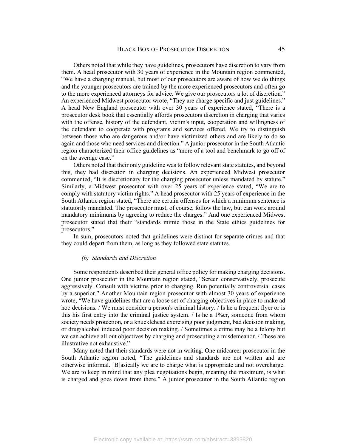Others noted that while they have guidelines, prosecutors have discretion to vary from them. A head prosecutor with 30 years of experience in the Mountain region commented, "We have a charging manual, but most of our prosecutors are aware of how we do things and the younger prosecutors are trained by the more experienced prosecutors and often go to the more experienced attorneys for advice. We give our prosecutors a lot of discretion." An experienced Midwest prosecutor wrote, "They are charge specific and just guidelines." A head New England prosecutor with over 30 years of experience stated, "There is a prosecutor desk book that essentially affords prosecutors discretion in charging that varies with the offense, history of the defendant, victim's input, cooperation and willingness of the defendant to cooperate with programs and services offered. We try to distinguish between those who are dangerous and/or have victimized others and are likely to do so again and those who need services and direction." A junior prosecutor in the South Atlantic region characterized their office guidelines as "more of a tool and benchmark to go off of on the average case."

Others noted that their only guideline was to follow relevant state statutes, and beyond this, they had discretion in charging decisions. An experienced Midwest prosecutor commented, "It is discretionary for the charging prosecutor unless mandated by statute." Similarly, a Midwest prosecutor with over 25 years of experience stated, "We are to comply with statutory victim rights." A head prosecutor with 25 years of experience in the South Atlantic region stated, "There are certain offenses for which a minimum sentence is statutorily mandated. The prosecutor must, of course, follow the law, but can work around mandatory minimums by agreeing to reduce the charges." And one experienced Midwest prosecutor stated that their "standards mimic those in the State ethics guidelines for prosecutors."

In sum, prosecutors noted that guidelines were distinct for separate crimes and that they could depart from them, as long as they followed state statutes.

#### *(b) Standards and Discretion*

Some respondents described their general office policy for making charging decisions. One junior prosecutor in the Mountain region stated, "Screen conservatively, prosecute aggressively. Consult with victims prior to charging. Run potentially controversial cases by a superior." Another Mountain region prosecutor with almost 30 years of experience wrote, "We have guidelines that are a loose set of charging objectives in place to make ad hoc decisions. / We must consider a person's criminal history. / Is he a frequent flyer or is this his first entry into the criminal justice system. / Is he a 1%er, someone from whom society needs protection, or a knucklehead exercising poor judgment, bad decision making, or drug/alcohol induced poor decision making. / Sometimes a crime may be a felony but we can achieve all out objectives by charging and prosecuting a misdemeanor. / These are illustrative not exhaustive."

Many noted that their standards were not in writing. One midcareer prosecutor in the South Atlantic region noted, "The guidelines and standards are not written and are otherwise informal. [B]asically we are to charge what is appropriate and not overcharge. We are to keep in mind that any plea negotiations begin, meaning the maximum, is what is charged and goes down from there." A junior prosecutor in the South Atlantic region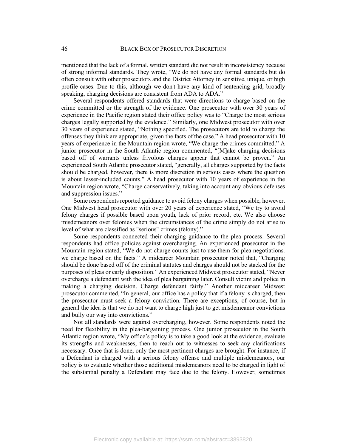mentioned that the lack of a formal, written standard did not result in inconsistency because of strong informal standards. They wrote, "We do not have any formal standards but do often consult with other prosecutors and the District Attorney in sensitive, unique, or high profile cases. Due to this, although we don't have any kind of sentencing grid, broadly speaking, charging decisions are consistent from ADA to ADA."

Several respondents offered standards that were directions to charge based on the crime committed or the strength of the evidence. One prosecutor with over 30 years of experience in the Pacific region stated their office policy was to "Charge the most serious charges legally supported by the evidence." Similarly, one Midwest prosecutor with over 30 years of experience stated, "Nothing specified. The prosecutors are told to charge the offenses they think are appropriate, given the facts of the case." A head prosecutor with 10 years of experience in the Mountain region wrote, "We charge the crimes committed." A junior prosecutor in the South Atlantic region commented, "[M]ake charging decisions based off of warrants unless frivolous charges appear that cannot be proven." An experienced South Atlantic prosecutor stated, "generally, all charges supported by the facts should be charged, however, there is more discretion in serious cases where the question is about lesser-included counts." A head prosecutor with 10 years of experience in the Mountain region wrote, "Charge conservatively, taking into account any obvious defenses and suppression issues."

Some respondents reported guidance to avoid felony charges when possible, however. One Midwest head prosecutor with over 20 years of experience stated, "We try to avoid felony charges if possible based upon youth, lack of prior record, etc. We also choose misdemeanors over felonies when the circumstances of the crime simply do not arise to level of what are classified as "serious" crimes (felony)."

Some respondents connected their charging guidance to the plea process. Several respondents had office policies against overcharging. An experienced prosecutor in the Mountain region stated, "We do not charge counts just to use them for plea negotiations. we charge based on the facts." A midcareer Mountain prosecutor noted that, "Charging should be done based off of the criminal statutes and charges should not be stacked for the purposes of pleas or early disposition." An experienced Midwest prosecutor stated, "Never overcharge a defendant with the idea of plea bargaining later. Consult victim and police in making a charging decision. Charge defendant fairly." Another midcareer Midwest prosecutor commented, "In general, our office has a policy that if a felony is charged, then the prosecutor must seek a felony conviction. There are exceptions, of course, but in general the idea is that we do not want to charge high just to get misdemeanor convictions and bully our way into convictions."

Not all standards were against overcharging, however. Some respondents noted the need for flexibility in the plea-bargaining process. One junior prosecutor in the South Atlantic region wrote, "My office's policy is to take a good look at the evidence, evaluate its strengths and weaknesses, then to reach out to witnesses to seek any clarifications necessary. Once that is done, only the most pertinent charges are brought. For instance, if a Defendant is charged with a serious felony offense and multiple misdemeanors, our policy is to evaluate whether those additional misdemeanors need to be charged in light of the substantial penalty a Defendant may face due to the felony. However, sometimes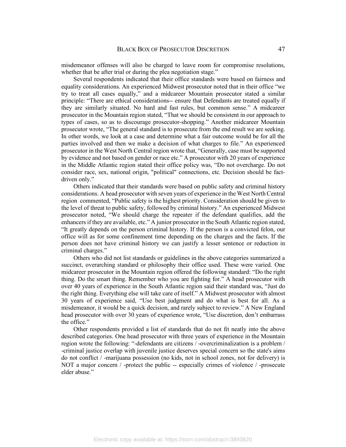misdemeanor offenses will also be charged to leave room for compromise resolutions, whether that be after trial or during the plea negotiation stage."

Several respondents indicated that their office standards were based on fairness and equality considerations. An experienced Midwest prosecutor noted that in their office "we try to treat all cases equally," and a midcareer Mountain prosecutor stated a similar principle: "There are ethical considerations-- ensure that Defendants are treated equally if they are similarly situated. No hard and fast rules, but common sense." A midcareer prosecutor in the Mountain region stated, "That we should be consistent in our approach to types of cases, so as to discourage prosecutor-shopping." Another midcareer Mountain prosecutor wrote, "The general standard is to prosecute from the end result we are seeking. In other words, we look at a case and determine what a fair outcome would be for all the parties involved and then we make a decision of what charges to file." An experienced prosecutor in the West North Central region wrote that, "Generally, case must be supported by evidence and not based on gender or race etc." A prosecutor with 20 years of experience in the Middle Atlantic region stated their office policy was, "Do not overcharge. Do not consider race, sex, national origin, "political" connections, etc. Decision should be factdriven only."

Others indicated that their standards were based on public safety and criminal history considerations. A head prosecutor with seven years of experience in the West North Central region commented, "Public safety is the highest priority. Consideration should be given to the level of threat to public safety, followed by criminal history." An experienced Midwest prosecutor noted, "We should charge the repeater if the defendant qualifies, add the enhancers if they are available, etc." A junior prosecutor in the South Atlantic region stated, "It greatly depends on the person criminal history. If the person is a convicted felon, our office will as for some confinement time depending on the charges and the facts. If the person does not have criminal history we can justify a lesser sentence or reduction in criminal charges."

Others who did not list standards or guidelines in the above categories summarized a succinct, overarching standard or philosophy their office used. These were varied. One midcareer prosecutor in the Mountain region offered the following standard: "Do the right thing. Do the smart thing. Remember who you are fighting for." A head prosecutor with over 40 years of experience in the South Atlantic region said their standard was, "Just do the right thing. Everything else will take care of itself." A Midwest prosecutor with almost 30 years of experience said, "Use best judgment and do what is best for all. As a misdemeanor, it would be a quick decision, and rarely subject to review." A New England head prosecutor with over 30 years of experience wrote, "Use discretion, don't embarrass the office."

Other respondents provided a list of standards that do not fit neatly into the above described categories. One head prosecutor with three years of experience in the Mountain region wrote the following: "-defendants are citizens / -overcriminalization is a problem / -criminal justice overlap with juvenile justice deserves special concern so the state's aims do not conflict / -marijuana possession (no kids, not in school zones, not for delivery) is NOT a major concern / -protect the public -- especially crimes of violence / -prosecute elder abuse."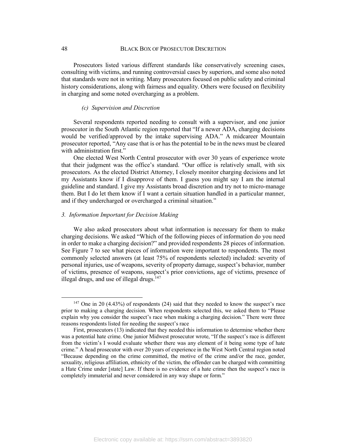Prosecutors listed various different standards like conservatively screening cases, consulting with victims, and running controversial cases by superiors, and some also noted that standards were not in writing. Many prosecutors focused on public safety and criminal history considerations, along with fairness and equality. Others were focused on flexibility in charging and some noted overcharging as a problem.

### *(c) Supervision and Discretion*

Several respondents reported needing to consult with a supervisor, and one junior prosecutor in the South Atlantic region reported that "If a newer ADA, charging decisions would be verified/approved by the intake supervising ADA." A midcareer Mountain prosecutor reported, "Any case that is or has the potential to be in the news must be cleared with administration first."

One elected West North Central prosecutor with over 30 years of experience wrote that their judgment was the office's standard. "Our office is relatively small, with six prosecutors. As the elected District Attorney, I closely monitor charging decisions and let my Assistants know if I disapprove of them. I guess you might say I am the internal guideline and standard. I give my Assistants broad discretion and try not to micro-manage them. But I do let them know if I want a certain situation handled in a particular manner, and if they undercharged or overcharged a criminal situation."

#### *3. Information Important for Decision Making*

We also asked prosecutors about what information is necessary for them to make charging decisions. We asked "Which of the following pieces of information do you need in order to make a charging decision?" and provided respondents 28 pieces of information. See Figure 7 to see what pieces of information were important to respondents. The most commonly selected answers (at least 75% of respondents selected) included: severity of personal injuries, use of weapons, severity of property damage, suspect's behavior, number of victims, presence of weapons, suspect's prior convictions, age of victims, presence of illegal drugs, and use of illegal drugs. $147$ 

 <sup>147</sup> One in 20 (4.43%) of respondents (24) said that they needed to know the suspect's race prior to making a charging decision. When respondents selected this, we asked them to "Please explain why you consider the suspect's race when making a charging decision." There were three reasons respondents listed for needing the suspect's race

First, prosecutors (13) indicated that they needed this information to determine whether there was a potential hate crime. One junior Midwest prosecutor wrote, "If the suspect's race is different from the victim's I would evaluate whether there was any element of it being some type of hate crime." A head prosecutor with over 20 years of experience in the West North Central region noted "Because depending on the crime committed, the motive of the crime and/or the race, gender, sexuality, religious affiliation, ethnicity of the victim, the offender can be charged with committing a Hate Crime under [state] Law. If there is no evidence of a hate crime then the suspect's race is completely immaterial and never considered in any way shape or form."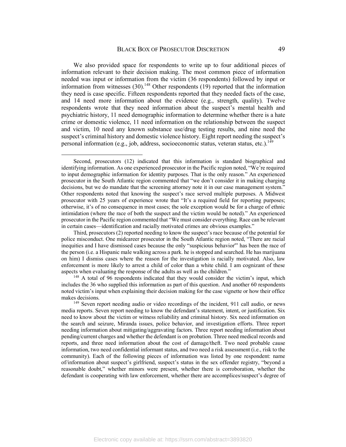We also provided space for respondents to write up to four additional pieces of information relevant to their decision making. The most common piece of information needed was input or information from the victim (36 respondents) followed by input or information from witnesses  $(30)$ .<sup>148</sup> Other respondents  $(19)$  reported that the information they need is case specific. Fifteen respondents reported that they needed facts of the case, and 14 need more information about the evidence (e.g., strength, quality). Twelve respondents wrote that they need information about the suspect's mental health and psychiatric history, 11 need demographic information to determine whether there is a hate crime or domestic violence, 11 need information on the relationship between the suspect and victim, 10 need any known substance use/drug testing results, and nine need the suspect's criminal history and domestic violence history. Eight report needing the suspect's personal information (e.g., job, address, socioeconomic status, veteran status, etc.).<sup>149</sup>

 $\overline{a}$ 

Third, prosecutors (2) reported needing to know the suspect's race because of the potential for police misconduct. One midcareer prosecutor in the South Atlantic region noted, "There are racial inequities and I have dismissed cases because the only "suspicious behavior'" has been the race of the person (i.e. a Hispanic male walking across a park. he is stopped and searched. He has marijuana on him) I dismiss cases where the reason for the investigation is racially motivated. Also, law enforcement is more likely to arrest a child of color than a white child. I am cognizant of these aspects when evaluating the response of the adults as well as the children."<br><sup>148</sup> A total of 96 respondents indicated that they would consider the victim's input, which

includes the 36 who supplied this information as part of this question. And another 60 respondents noted victim's input when explaining their decision making for the case vignette or how their office makes decisions.

<sup>149</sup> Seven report needing audio or video recordings of the incident, 911 call audio, or news media reports. Seven report needing to know the defendant's statement, intent, or justification. Six need to know about the victim or witness reliability and criminal history. Six need information on the search and seizure, Miranda issues, police behavior, and investigation efforts. Three report needing information about mitigating/aggravating factors. Three report needing information about pending/current charges and whether the defendant is on probation. Three need medical records and reports, and three need information about the cost of damage/theft. Two need probable cause information, two need confidential informant status, and two need a risk assessment (i.e., risk to the community). Each of the following pieces of information was listed by one respondent: name of/information about suspect's girlfriend, suspect's status in the sex offender registry, "beyond a reasonable doubt," whether minors were present, whether there is corroboration, whether the defendant is cooperating with law enforcement, whether there are accomplices/suspect's degree of

Second, prosecutors (12) indicated that this information is standard biographical and identifying information. As one experienced prosecutor in the Pacific region noted, "We're required to input demographic information for identity purposes. That is the only reason." An experienced prosecutor in the South Atlantic region commented that "we don't consider it in making charging decisions, but we do mandate that the screening attorney note it in our case management system." Other respondents noted that knowing the suspect's race served multiple purposes. A Midwest prosecutor with 25 years of experience wrote that "It's a required field for reporting purposes; otherwise, it's of no consequence in most cases; the sole exception would be for a charge of ethnic intimidation (where the race of both the suspect and the victim would be noted)." An experienced prosecutor in the Pacific region commented that "We must consider everything. Race can be relevant in certain cases—identification and racially motivated crimes are obvious examples."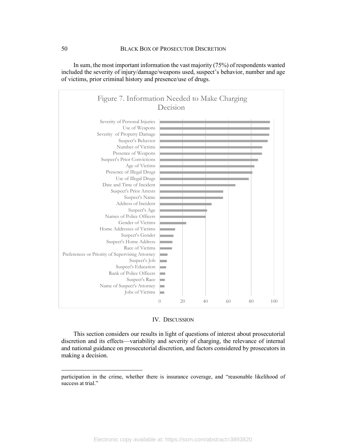

In sum, the most important information the vast majority (75%) of respondents wanted included the severity of injury/damage/weapons used, suspect's behavior, number and age of victims, prior criminal history and presence/use of drugs.

#### IV. DISCUSSION

This section considers our results in light of questions of interest about prosecutorial discretion and its effects—variability and severity of charging, the relevance of internal and national guidance on prosecutorial discretion, and factors considered by prosecutors in making a decision.

 $\overline{a}$ 

participation in the crime, whether there is insurance coverage, and "reasonable likelihood of success at trial."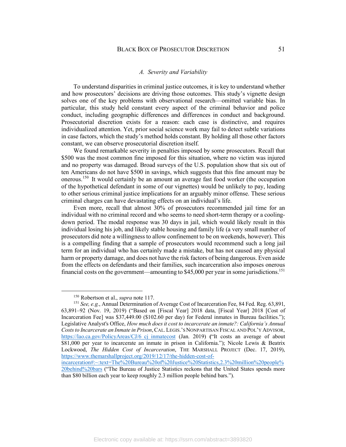#### *A. Severity and Variability*

To understand disparities in criminal justice outcomes, it is key to understand whether and how prosecutors' decisions are driving those outcomes. This study's vignette design solves one of the key problems with observational research—omitted variable bias. In particular, this study held constant every aspect of the criminal behavior and police conduct, including geographic differences and differences in conduct and background. Prosecutorial discretion exists for a reason: each case is distinctive, and requires individualized attention. Yet, prior social science work may fail to detect subtle variations in case factors, which the study's method holds constant. By holding all those other factors constant, we can observe prosecutorial discretion itself.

We found remarkable severity in penalties imposed by some prosecutors. Recall that \$500 was the most common fine imposed for this situation, where no victim was injured and no property was damaged. Broad surveys of the U.S. population show that six out of ten Americans do not have \$500 in savings, which suggests that this fine amount may be onerous.<sup>150</sup> It would certainly be an amount an average fast food worker (the occupation of the hypothetical defendant in some of our vignettes) would be unlikely to pay, leading to other serious criminal justice implications for an arguably minor offense. These serious criminal charges can have devastating effects on an individual's life.

Even more, recall that almost 30% of prosecutors recommended jail time for an individual with no criminal record and who seems to need short-term therapy or a coolingdown period. The modal response was 30 days in jail, which would likely result in this individual losing his job, and likely stable housing and family life (a very small number of prosecutors did note a willingness to allow confinement to be on weekends, however). This is a compelling finding that a sample of prosecutors would recommend such a long jail term for an individual who has certainly made a mistake, but has not caused any physical harm or property damage, and does not have the risk factors of being dangerous. Even aside from the effects on defendants and their families, such incarceration also imposes onerous financial costs on the government—amounting to  $$45,000$  per year in some jurisdictions.<sup>151</sup>

 <sup>150</sup> Robertson et al., *supra* note 117.

<sup>151</sup> *See, e.g.*, Annual Determination of Average Cost of Incarceration Fee, 84 Fed. Reg. 63,891, 63,891–92 (Nov. 19, 2019) ("Based on [Fiscal Year] 2018 data, [Fiscal Year] 2018 [Cost of Incarceration Fee] was \$37,449.00 (\$102.60 per day) for Federal inmates in Bureau facilities."); Legislative Analyst's Office, *How much does it cost to incarcerate an inmate?: California's Annual Costs to Incarcerate an Inmate in Prison*,CAL.LEGIS.'S NONPARTISAN FISCAL AND POL'Y ADVISOR, https://lao.ca.gov/PolicyAreas/CJ/6\_cj\_inmatecost (Jan. 2019) **(**"It costs an average of about \$81,000 per year to incarcerate an inmate in prison in California."); Nicole Lewis & Beatrix Lockwood, *The Hidden Cost of Incarceration*, THE MARSHALL PROJECT (Dec. 17, 2019), https://www.themarshallproject.org/2019/12/17/the-hidden-cost-of-

incarceration#:~:text=The%20Bureau%20of%20Justice%20Statistics,2.3%20million%20people% 20behind%20bars ("The Bureau of Justice Statistics reckons that the United States spends more than \$80 billion each year to keep roughly 2.3 million people behind bars.").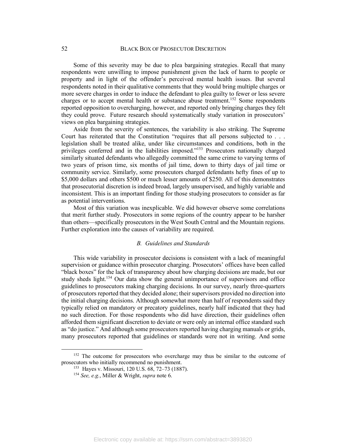Some of this severity may be due to plea bargaining strategies. Recall that many respondents were unwilling to impose punishment given the lack of harm to people or property and in light of the offender's perceived mental health issues. But several respondents noted in their qualitative comments that they would bring multiple charges or more severe charges in order to induce the defendant to plea guilty to fewer or less severe charges or to accept mental health or substance abuse treatment.<sup>152</sup> Some respondents reported opposition to overcharging, however, and reported only bringing charges they felt they could prove. Future research should systematically study variation in prosecutors' views on plea bargaining strategies.

Aside from the severity of sentences, the variability is also striking. The Supreme Court has reiterated that the Constitution "requires that all persons subjected to . . . legislation shall be treated alike, under like circumstances and conditions, both in the privileges conferred and in the liabilities imposed."153 Prosecutors nationally charged similarly situated defendants who allegedly committed the same crime to varying terms of two years of prison time, six months of jail time, down to thirty days of jail time or community service. Similarly, some prosecutors charged defendants hefty fines of up to \$5,000 dollars and others \$500 or much lesser amounts of \$250. All of this demonstrates that prosecutorial discretion is indeed broad, largely unsupervised, and highly variable and inconsistent. This is an important finding for those studying prosecutors to consider as far as potential interventions.

Most of this variation was inexplicable. We did however observe some correlations that merit further study. Prosecutors in some regions of the country appear to be harsher than others—specifically prosecutors in the West South Central and the Mountain regions. Further exploration into the causes of variability are required.

## *B. Guidelines and Standards*

This wide variability in prosecutor decisions is consistent with a lack of meaningful supervision or guidance within prosecutor charging. Prosecutors' offices have been called "black boxes" for the lack of transparency about how charging decisions are made, but our study sheds light.<sup>154</sup> Our data show the general unimportance of supervisors and office guidelines to prosecutors making charging decisions. In our survey, nearly three-quarters of prosecutors reported that they decided alone; their supervisors provided no direction into the initial charging decisions. Although somewhat more than half of respondents said they typically relied on mandatory or precatory guidelines, nearly half indicated that they had no such direction. For those respondents who did have direction, their guidelines often afforded them significant discretion to deviate or were only an internal office standard such as "do justice." And although some prosecutors reported having charging manuals or grids, many prosecutors reported that guidelines or standards were not in writing. And some

<sup>&</sup>lt;sup>152</sup> The outcome for prosecutors who overcharge may thus be similar to the outcome of prosecutors who initially recommend no punishment.

<sup>153</sup> Hayes v. Missouri, 120 U.S. 68, 72–73 (1887).

<sup>154</sup> *See, e.g.*, Miller & Wright, *supra* note 6.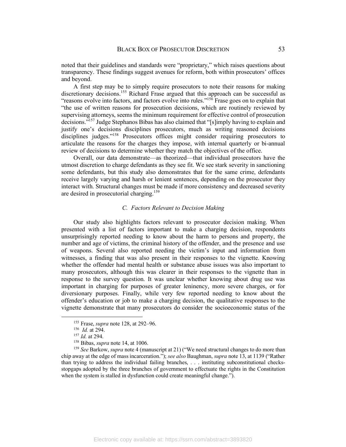noted that their guidelines and standards were "proprietary," which raises questions about transparency. These findings suggest avenues for reform, both within prosecutors' offices and beyond.

A first step may be to simply require prosecutors to note their reasons for making discretionary decisions.<sup>155</sup> Richard Frase argued that this approach can be successful as "reasons evolve into factors, and factors evolve into rules."<sup>156</sup> Frase goes on to explain that "the use of written reasons for prosecution decisions, which are routinely reviewed by supervising attorneys, seems the minimum requirement for effective control of prosecution decisions."157 Judge Stephanos Bibas has also claimed that "[s]imply having to explain and justify one's decisions disciplines prosecutors, much as writing reasoned decisions disciplines judges."<sup>158</sup> Prosecutors offices might consider requiring prosecutors to articulate the reasons for the charges they impose, with internal quarterly or bi-annual review of decisions to determine whether they match the objectives of the office.

Overall, our data demonstrate—as theorized—that individual prosecutors have the utmost discretion to charge defendants as they see fit. We see stark severity in sanctioning some defendants, but this study also demonstrates that for the same crime, defendants receive largely varying and harsh or lenient sentences, depending on the prosecutor they interact with. Structural changes must be made if more consistency and decreased severity are desired in prosecutorial charging.159

## *C. Factors Relevant to Decision Making*

Our study also highlights factors relevant to prosecutor decision making. When presented with a list of factors important to make a charging decision, respondents unsurprisingly reported needing to know about the harm to persons and property, the number and age of victims, the criminal history of the offender, and the presence and use of weapons. Several also reported needing the victim's input and information from witnesses, a finding that was also present in their responses to the vignette. Knowing whether the offender had mental health or substance abuse issues was also important to many prosecutors, although this was clearer in their responses to the vignette than in response to the survey question. It was unclear whether knowing about drug use was important in charging for purposes of greater leninency, more severe charges, or for diversionary purposes. Finally, while very few reported needing to know about the offender's education or job to make a charging decision, the qualitative responses to the vignette demonstrate that many prosecutors do consider the socioeconomic status of the

<sup>159</sup> *See* Barkow, *supra* note 4 (manuscript at 21) ("We need structural changes to do more than chip away at the edge of mass incarceration."); *see also* Baughman, *supra* note 13, at 1139 ("Rather than trying to address the individual failing branches, . . . instituting subconstitutional checksstopgaps adopted by the three branches of government to effectuate the rights in the Constitution when the system is stalled in dysfunction could create meaningful change.").

 <sup>155</sup> Frase, *supra* note 128, at 292–96.

<sup>156</sup> *Id.* at 294.

<sup>157</sup> *Id.* at 294.

<sup>158</sup> Bibas, *supra* note 14, at 1006.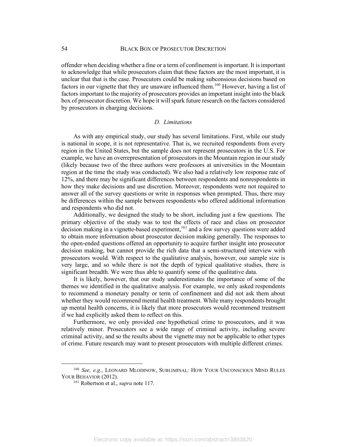offender when deciding whether a fine or a term of confinement is important. It is important to acknowledge that while prosecutors claim that these factors are the most important, it is unclear that that is the case. Prosecutors could be making subconsious decisions based on factors in our vignette that they are unaware influenced them.<sup>160</sup> However, having a list of factors important to the majority of prosecutors provides an important insight into the black box of prosecutor discretion. We hope it will spark future research on the factors considered by prosecutors in charging decisions.

## *D. Limitations*

As with any empirical study, our study has several limitations. First, while our study is national in scope, it is not representative. That is, we recruited respondents from every region in the United States, but the sample does not represent prosecutors in the U.S. For example, we have an overrepresentation of prosecutors in the Mountain region in our study (likely because two of the three authors were professors at universities in the Mountain region at the time the study was conducted). We also had a relatively low response rate of 12%, and there may be significant differences between respondents and nonrespondents in how they make decisions and use discretion. Moreover, respondents were not required to answer all of the survey questions or write in responses when prompted. Thus, there may be differences within the sample between respondents who offered additional information and respondents who did not.

Additionally, we designed the study to be short, including just a few questions. The primary objective of the study was to test the effects of race and class on prosecutor decision making in a vignette-based experiment,<sup>161</sup> and a few survey questions were added to obtain more information about prosecutor decision making generally. The responses to the open-ended questions offered an opportunity to acquire further insight into prosecutor decision making, but cannot provide the rich data that a semi-structured interview with prosecutors would. With respect to the qualitative analysis, however, our sample size is very large, and so while there is not the depth of typical qualitative studies, there is significant breadth. We were thus able to quantify some of the qualitative data.

It is likely, however, that our study underestimates the importance of some of the themes we identified in the qualitative analysis. For example, we only asked respondents to recommend a monetary penalty or term of confinement and did not ask them about whether they would recommend mental health treatment. While many respondents brought up mental health concerns, it is likely that more prosecutors would recommend treatment if we had explicitly asked them to reflect on this.

Furthermore, we only provided one hypothetical crime to prosecutors, and it was relatively minor. Prosecutors see a wide range of criminal activity, including severe criminal activity, and so the results about the vignette may not be applicable to other types of crime. Future research may want to present prosecutors with multiple different crimes.

 <sup>160</sup> *See, e.g.*, LEONARD MLODINOW, SUBLIMINAL: HOW YOUR UNCONSCIOUS MIND RULES YOUR BEHAVIOR (2012).

<sup>161</sup> Robertson et al., *supra* note 117.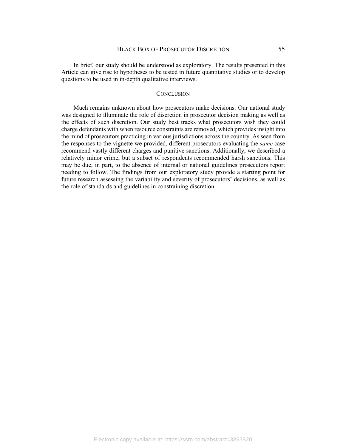In brief, our study should be understood as exploratory. The results presented in this Article can give rise to hypotheses to be tested in future quantitative studies or to develop questions to be used in in-depth qualitative interviews.

#### **CONCLUSION**

Much remains unknown about how prosecutors make decisions. Our national study was designed to illuminate the role of discretion in prosecutor decision making as well as the effects of such discretion. Our study best tracks what prosecutors wish they could charge defendants with when resource constraints are removed, which provides insight into the mind of prosecutors practicing in various jurisdictions across the country. As seen from the responses to the vignette we provided, different prosecutors evaluating the *same* case recommend vastly different charges and punitive sanctions. Additionally, we described a relatively minor crime, but a subset of respondents recommended harsh sanctions. This may be due, in part, to the absence of internal or national guidelines prosecutors report needing to follow. The findings from our exploratory study provide a starting point for future research assessing the variability and severity of prosecutors' decisions, as well as the role of standards and guidelines in constraining discretion.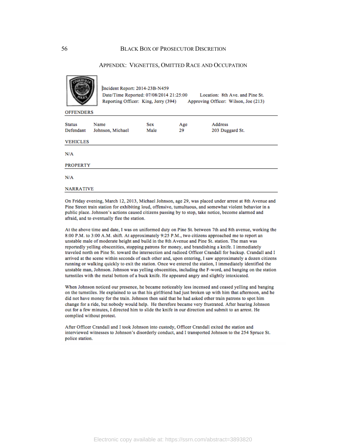#### APPENDIX: VIGNETTES, OMITTED RACE AND OCCUPATION

| <b>OFFENDERS</b>      | Incident Report: 2014-23B-N459<br>Date/Time Reported: 07/08/2014 21:25:00<br>Reporting Officer: King, Jerry (394) |      |     | Location: 8th Ave. and Pine St.<br>Approving Officer: Wilson, Joe (213) |  |
|-----------------------|-------------------------------------------------------------------------------------------------------------------|------|-----|-------------------------------------------------------------------------|--|
| <b>Status</b><br>Name |                                                                                                                   | Sex  | Age | <b>Address</b>                                                          |  |
| Defendant             | Johnson, Michael                                                                                                  | Male | 29  | 203 Duggard St.                                                         |  |
| <b>VEHICLES</b>       |                                                                                                                   |      |     |                                                                         |  |
| N/A                   |                                                                                                                   |      |     |                                                                         |  |
| <b>PROPERTY</b>       |                                                                                                                   |      |     |                                                                         |  |
| N/A                   |                                                                                                                   |      |     |                                                                         |  |
| <b>NARRATIVE</b>      |                                                                                                                   |      |     |                                                                         |  |
|                       |                                                                                                                   |      |     |                                                                         |  |

On Friday evening, March 12, 2013, Michael Johnson, age 29, was placed under arrest at 8th Avenue and Pine Street train station for exhibiting loud, offensive, tumultuous, and somewhat violent behavior in a public place. Johnson's actions caused citizens passing by to stop, take notice, become alarmed and afraid, and to eventually flee the station.

At the above time and date, I was on uniformed duty on Pine St. between 7th and 8th avenue, working the 8:00 P.M. to 3:00 A.M. shift. At approximately 9:25 P.M., two citizens approached me to report an unstable male of moderate height and build in the 8th Avenue and Pine St. station. The man was reportedly yelling obscenities, stopping patrons for money, and brandishing a knife. I immediately traveled north on Pine St. toward the intersection and radioed Officer Crandall for backup. Crandall and I arrived at the scene within seconds of each other and, upon entering, I saw approximately a dozen citizens running or walking quickly to exit the station. Once we entered the station, I immediately identified the unstable man, Johnson. Johnson was yelling obscenities, including the F-word, and banging on the station turnstiles with the metal bottom of a buck knife. He appeared angry and slightly intoxicated.

When Johnson noticed our presence, he became noticeably less incensed and ceased yelling and banging on the turnstiles. He explained to us that his girlfriend had just broken up with him that afternoon, and he did not have money for the train. Johnson then said that he had asked other train patrons to spot him change for a ride, but nobody would help. He therefore became very frustrated. After hearing Johnson out for a few minutes, I directed him to slide the knife in our direction and submit to an arrest. He complied without protest.

After Officer Crandall and I took Johnson into custody, Officer Crandall exited the station and interviewed witnesses to Johnson's disorderly conduct, and I transported Johnson to the 254 Spruce St. police station.